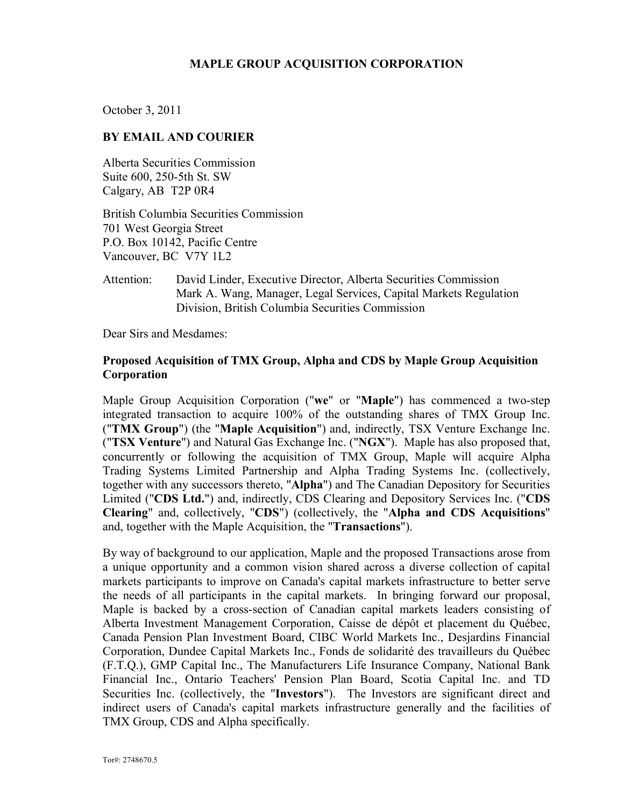### **MAPLE GROUP ACQUISITION CORPORATION**

October 3, 2011

#### **BY EMAIL AND COURIER**

Alberta Securities Commission Suite 600, 250-5th St. SW Calgary, AB T2P 0R4

British Columbia Securities Commission 701 West Georgia Street P.O. Box 10142, Pacific Centre Vancouver, BC V7Y 1L2

Attention: David Linder, Executive Director, Alberta Securities Commission Mark A. Wang, Manager, Legal Services, Capital Markets Regulation Division, British Columbia Securities Commission

Dear Sirs and Mesdames:

### **Proposed Acquisition of TMX Group, Alpha and CDS by Maple Group Acquisition Corporation**

Maple Group Acquisition Corporation ("**we**" or "**Maple**") has commenced a two-step integrated transaction to acquire 100% of the outstanding shares of TMX Group Inc. ("**TMX Group**") (the "**Maple Acquisition**") and, indirectly, TSX Venture Exchange Inc. ("**TSX Venture**") and Natural Gas Exchange Inc. ("**NGX**"). Maple has also proposed that, concurrently or following the acquisition of TMX Group, Maple will acquire Alpha Trading Systems Limited Partnership and Alpha Trading Systems Inc. (collectively, together with any successors thereto, "**Alpha**") and The Canadian Depository for Securities Limited ("**CDS Ltd.**") and, indirectly, CDS Clearing and Depository Services Inc. ("**CDS Clearing**" and, collectively, "**CDS**") (collectively, the "**Alpha and CDS Acquisitions**" and, together with the Maple Acquisition, the "**Transactions**").

By way of background to our application, Maple and the proposed Transactions arose from a unique opportunity and a common vision shared across a diverse collection of capital markets participants to improve on Canada's capital markets infrastructure to better serve the needs of all participants in the capital markets. In bringing forward our proposal, Maple is backed by a cross-section of Canadian capital markets leaders consisting of Alberta Investment Management Corporation, Caisse de dépôt et placement du Québec, Canada Pension Plan Investment Board, CIBC World Markets Inc., Desjardins Financial Corporation, Dundee Capital Markets Inc., Fonds de solidarité des travailleurs du Québec (F.T.Q.), GMP Capital Inc., The Manufacturers Life Insurance Company, National Bank Financial Inc., Ontario Teachers' Pension Plan Board, Scotia Capital Inc. and TD Securities Inc. (collectively, the "**Investors**"). The Investors are significant direct and indirect users of Canada's capital markets infrastructure generally and the facilities of TMX Group, CDS and Alpha specifically.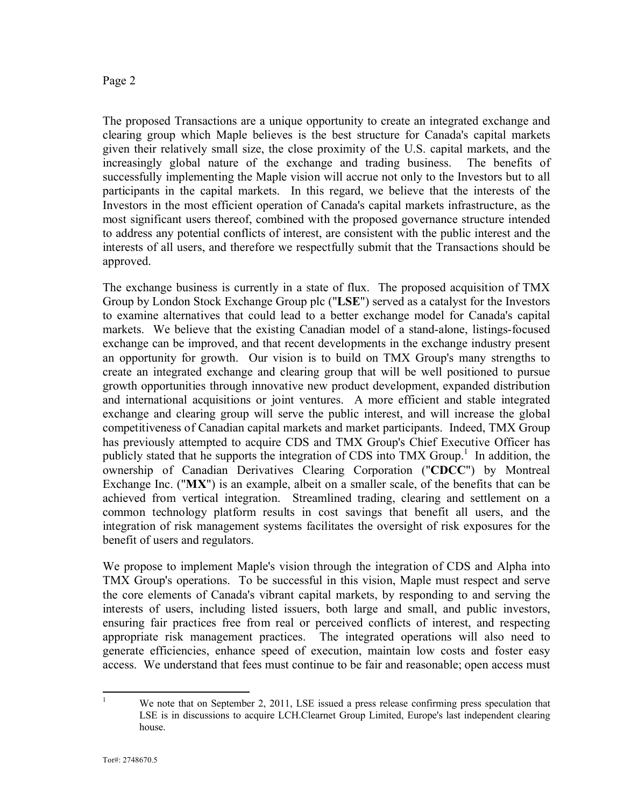The proposed Transactions are a unique opportunity to create an integrated exchange and clearing group which Maple believes is the best structure for Canada's capital markets given their relatively small size, the close proximity of the U.S. capital markets, and the increasingly global nature of the exchange and trading business. The benefits of successfully implementing the Maple vision will accrue not only to the Investors but to all participants in the capital markets. In this regard, we believe that the interests of the Investors in the most efficient operation of Canada's capital markets infrastructure, as the most significant users thereof, combined with the proposed governance structure intended to address any potential conflicts of interest, are consistent with the public interest and the interests of all users, and therefore we respectfully submit that the Transactions should be approved.

The exchange business is currently in a state of flux. The proposed acquisition of TMX Group by London Stock Exchange Group plc ("**LSE**") served as a catalyst for the Investors to examine alternatives that could lead to a better exchange model for Canada's capital markets. We believe that the existing Canadian model of a stand-alone, listings-focused exchange can be improved, and that recent developments in the exchange industry present an opportunity for growth. Our vision is to build on TMX Group's many strengths to create an integrated exchange and clearing group that will be well positioned to pursue growth opportunities through innovative new product development, expanded distribution and international acquisitions or joint ventures. A more efficient and stable integrated exchange and clearing group will serve the public interest, and will increase the global competitiveness of Canadian capital markets and market participants. Indeed, TMX Group has previously attempted to acquire CDS and TMX Group's Chief Executive Officer has publicly stated that he supports the integration of CDS into TMX Group.<sup>1</sup> In addition, the ownership of Canadian Derivatives Clearing Corporation ("**CDCC**") by Montreal Exchange Inc. ("**MX**") is an example, albeit on a smaller scale, of the benefits that can be achieved from vertical integration. Streamlined trading, clearing and settlement on a common technology platform results in cost savings that benefit all users, and the integration of risk management systems facilitates the oversight of risk exposures for the benefit of users and regulators.

We propose to implement Maple's vision through the integration of CDS and Alpha into TMX Group's operations. To be successful in this vision, Maple must respect and serve the core elements of Canada's vibrant capital markets, by responding to and serving the interests of users, including listed issuers, both large and small, and public investors, ensuring fair practices free from real or perceived conflicts of interest, and respecting appropriate risk management practices. The integrated operations will also need to generate efficiencies, enhance speed of execution, maintain low costs and foster easy access. We understand that fees must continue to be fair and reasonable; open access must

<sup>&</sup>lt;sup>1</sup> We note that on September 2, 2011, LSE issued a press release confirming press speculation that LSE is in discussions to acquire LCH.Clearnet Group Limited, Europe's last independent clearing house.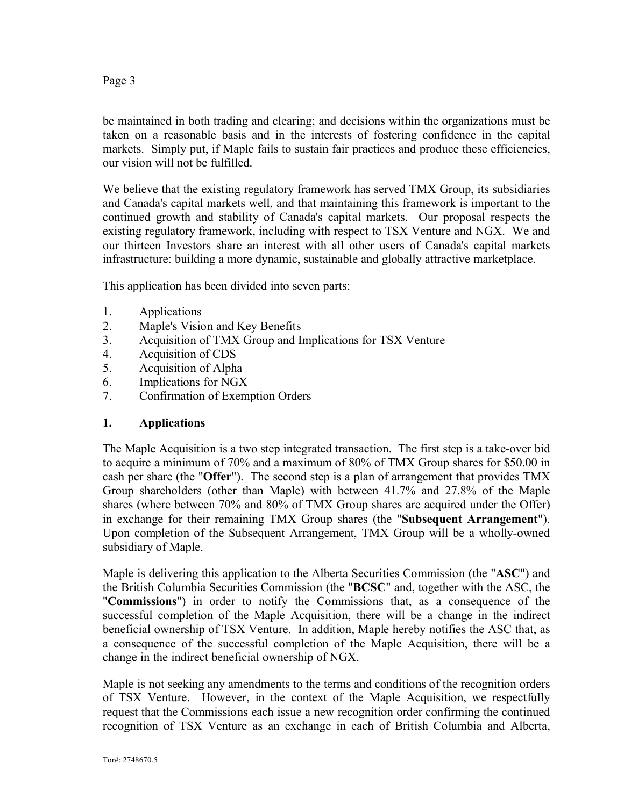be maintained in both trading and clearing; and decisions within the organizations must be taken on a reasonable basis and in the interests of fostering confidence in the capital markets. Simply put, if Maple fails to sustain fair practices and produce these efficiencies, our vision will not be fulfilled.

We believe that the existing regulatory framework has served TMX Group, its subsidiaries and Canada's capital markets well, and that maintaining this framework is important to the continued growth and stability of Canada's capital markets. Our proposal respects the existing regulatory framework, including with respect to TSX Venture and NGX. We and our thirteen Investors share an interest with all other users of Canada's capital markets infrastructure: building a more dynamic, sustainable and globally attractive marketplace.

This application has been divided into seven parts:

- 1. Applications
- 2. Maple's Vision and Key Benefits
- 3. Acquisition of TMX Group and Implications for TSX Venture
- 4. Acquisition of CDS
- 5. Acquisition of Alpha
- 6. Implications for NGX
- 7. Confirmation of Exemption Orders

### **1. Applications**

The Maple Acquisition is a two step integrated transaction. The first step is a take-over bid to acquire a minimum of 70% and a maximum of 80% of TMX Group shares for \$50.00 in cash per share (the "**Offer**"). The second step is a plan of arrangement that provides TMX Group shareholders (other than Maple) with between 41.7% and 27.8% of the Maple shares (where between 70% and 80% of TMX Group shares are acquired under the Offer) in exchange for their remaining TMX Group shares (the "**Subsequent Arrangement**"). Upon completion of the Subsequent Arrangement, TMX Group will be a wholly-owned subsidiary of Maple.

Maple is delivering this application to the Alberta Securities Commission (the "**ASC**") and the British Columbia Securities Commission (the "**BCSC**" and, together with the ASC, the "**Commissions**") in order to notify the Commissions that, as a consequence of the successful completion of the Maple Acquisition, there will be a change in the indirect beneficial ownership of TSX Venture. In addition, Maple hereby notifies the ASC that, as a consequence of the successful completion of the Maple Acquisition, there will be a change in the indirect beneficial ownership of NGX.

Maple is not seeking any amendments to the terms and conditions of the recognition orders of TSX Venture. However, in the context of the Maple Acquisition, we respectfully request that the Commissions each issue a new recognition order confirming the continued recognition of TSX Venture as an exchange in each of British Columbia and Alberta,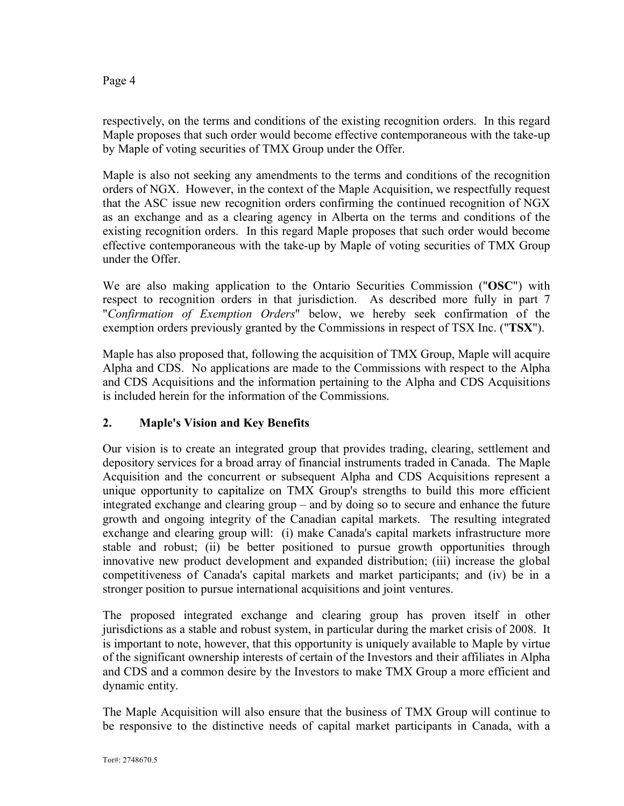respectively, on the terms and conditions of the existing recognition orders. In this regard Maple proposes that such order would become effective contemporaneous with the take-up by Maple of voting securities of TMX Group under the Offer.

Maple is also not seeking any amendments to the terms and conditions of the recognition orders of NGX. However, in the context of the Maple Acquisition, we respectfully request that the ASC issue new recognition orders confirming the continued recognition of NGX as an exchange and as a clearing agency in Alberta on the terms and conditions of the existing recognition orders. In this regard Maple proposes that such order would become effective contemporaneous with the take-up by Maple of voting securities of TMX Group under the Offer.

We are also making application to the Ontario Securities Commission ("**OSC**") with respect to recognition orders in that jurisdiction. As described more fully in part 7 "*Confirmation of Exemption Orders*" below, we hereby seek confirmation of the exemption orders previously granted by the Commissions in respect of TSX Inc. ("**TSX**").

Maple has also proposed that, following the acquisition of TMX Group, Maple will acquire Alpha and CDS. No applications are made to the Commissions with respect to the Alpha and CDS Acquisitions and the information pertaining to the Alpha and CDS Acquisitions is included herein for the information of the Commissions.

# **2. Maple's Vision and Key Benefits**

Our vision is to create an integrated group that provides trading, clearing, settlement and depository services for a broad array of financial instruments traded in Canada. The Maple Acquisition and the concurrent or subsequent Alpha and CDS Acquisitions represent a unique opportunity to capitalize on TMX Group's strengths to build this more efficient integrated exchange and clearing group – and by doing so to secure and enhance the future growth and ongoing integrity of the Canadian capital markets. The resulting integrated exchange and clearing group will: (i) make Canada's capital markets infrastructure more stable and robust; (ii) be better positioned to pursue growth opportunities through innovative new product development and expanded distribution; (iii) increase the global competitiveness of Canada's capital markets and market participants; and (iv) be in a stronger position to pursue international acquisitions and joint ventures.

The proposed integrated exchange and clearing group has proven itself in other jurisdictions as a stable and robust system, in particular during the market crisis of 2008. It is important to note, however, that this opportunity is uniquely available to Maple by virtue of the significant ownership interests of certain of the Investors and their affiliates in Alpha and CDS and a common desire by the Investors to make TMX Group a more efficient and dynamic entity.

The Maple Acquisition will also ensure that the business of TMX Group will continue to be responsive to the distinctive needs of capital market participants in Canada, with a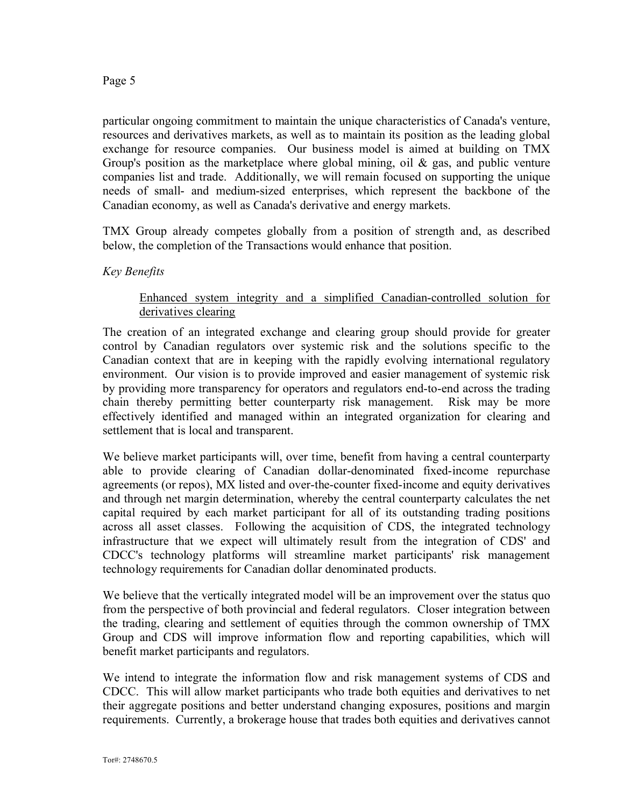particular ongoing commitment to maintain the unique characteristics of Canada's venture, resources and derivatives markets, as well as to maintain its position as the leading global exchange for resource companies. Our business model is aimed at building on TMX Group's position as the marketplace where global mining, oil & gas, and public venture companies list and trade. Additionally, we will remain focused on supporting the unique needs of small- and medium-sized enterprises, which represent the backbone of the Canadian economy, as well as Canada's derivative and energy markets.

TMX Group already competes globally from a position of strength and, as described below, the completion of the Transactions would enhance that position.

### *Key Benefits*

### Enhanced system integrity and a simplified Canadian-controlled solution for derivatives clearing

The creation of an integrated exchange and clearing group should provide for greater control by Canadian regulators over systemic risk and the solutions specific to the Canadian context that are in keeping with the rapidly evolving international regulatory environment. Our vision is to provide improved and easier management of systemic risk by providing more transparency for operators and regulators end-to-end across the trading chain thereby permitting better counterparty risk management. Risk may be more effectively identified and managed within an integrated organization for clearing and settlement that is local and transparent.

We believe market participants will, over time, benefit from having a central counterparty able to provide clearing of Canadian dollar-denominated fixed-income repurchase agreements (or repos), MX listed and over-the-counter fixed-income and equity derivatives and through net margin determination, whereby the central counterparty calculates the net capital required by each market participant for all of its outstanding trading positions across all asset classes. Following the acquisition of CDS, the integrated technology infrastructure that we expect will ultimately result from the integration of CDS' and CDCC's technology platforms will streamline market participants' risk management technology requirements for Canadian dollar denominated products.

We believe that the vertically integrated model will be an improvement over the status quo from the perspective of both provincial and federal regulators. Closer integration between the trading, clearing and settlement of equities through the common ownership of TMX Group and CDS will improve information flow and reporting capabilities, which will benefit market participants and regulators.

We intend to integrate the information flow and risk management systems of CDS and CDCC. This will allow market participants who trade both equities and derivatives to net their aggregate positions and better understand changing exposures, positions and margin requirements. Currently, a brokerage house that trades both equities and derivatives cannot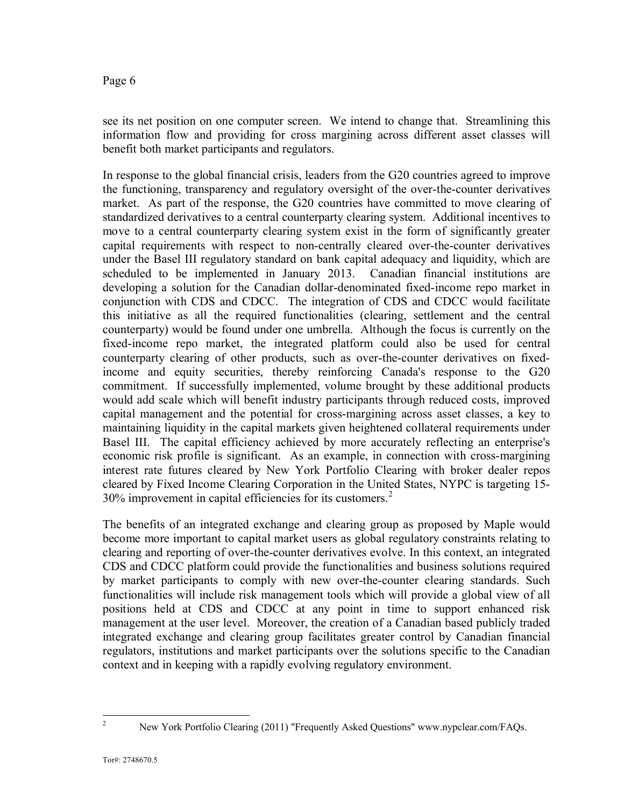see its net position on one computer screen. We intend to change that. Streamlining this information flow and providing for cross margining across different asset classes will benefit both market participants and regulators.

In response to the global financial crisis, leaders from the G20 countries agreed to improve the functioning, transparency and regulatory oversight of the over-the-counter derivatives market. As part of the response, the G20 countries have committed to move clearing of standardized derivatives to a central counterparty clearing system. Additional incentives to move to a central counterparty clearing system exist in the form of significantly greater capital requirements with respect to non-centrally cleared over-the-counter derivatives under the Basel III regulatory standard on bank capital adequacy and liquidity, which are scheduled to be implemented in January 2013. Canadian financial institutions are developing a solution for the Canadian dollar-denominated fixed-income repo market in conjunction with CDS and CDCC. The integration of CDS and CDCC would facilitate this initiative as all the required functionalities (clearing, settlement and the central counterparty) would be found under one umbrella. Although the focus is currently on the fixed-income repo market, the integrated platform could also be used for central counterparty clearing of other products, such as over-the-counter derivatives on fixedincome and equity securities, thereby reinforcing Canada's response to the G20 commitment. If successfully implemented, volume brought by these additional products would add scale which will benefit industry participants through reduced costs, improved capital management and the potential for cross-margining across asset classes, a key to maintaining liquidity in the capital markets given heightened collateral requirements under Basel III. The capital efficiency achieved by more accurately reflecting an enterprise's economic risk profile is significant. As an example, in connection with cross-margining interest rate futures cleared by New York Portfolio Clearing with broker dealer repos cleared by Fixed Income Clearing Corporation in the United States, NYPC is targeting 15- 30% improvement in capital efficiencies for its customers.<sup>2</sup>

The benefits of an integrated exchange and clearing group as proposed by Maple would become more important to capital market users as global regulatory constraints relating to clearing and reporting of over-the-counter derivatives evolve. In this context, an integrated CDS and CDCC platform could provide the functionalities and business solutions required by market participants to comply with new over-the-counter clearing standards. Such functionalities will include risk management tools which will provide a global view of all positions held at CDS and CDCC at any point in time to support enhanced risk management at the user level. Moreover, the creation of a Canadian based publicly traded integrated exchange and clearing group facilitates greater control by Canadian financial regulators, institutions and market participants over the solutions specific to the Canadian context and in keeping with a rapidly evolving regulatory environment.

<sup>&</sup>lt;sup>2</sup> New York Portfolio Clearing (2011) "Frequently Asked Questions" www.nypclear.com/FAQs.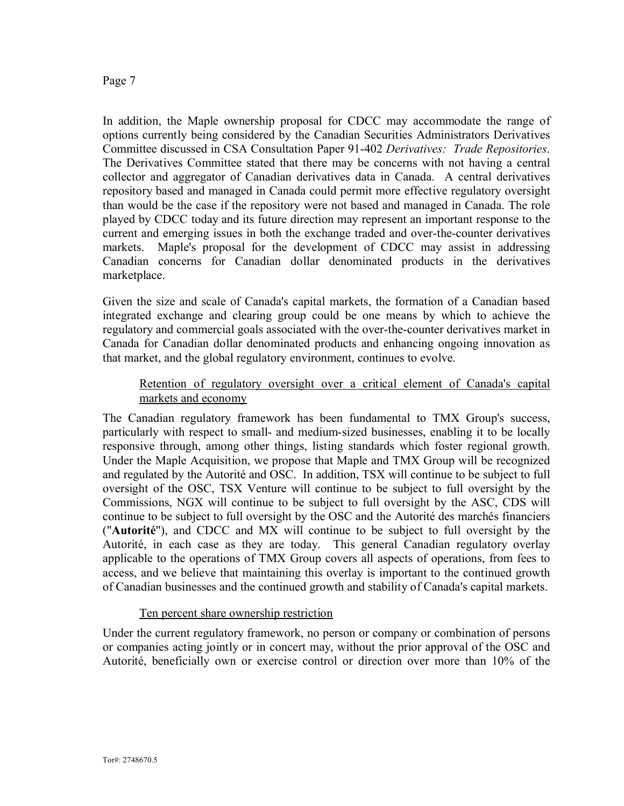In addition, the Maple ownership proposal for CDCC may accommodate the range of options currently being considered by the Canadian Securities Administrators Derivatives Committee discussed in CSA Consultation Paper 91-402 *Derivatives: Trade Repositories*. The Derivatives Committee stated that there may be concerns with not having a central collector and aggregator of Canadian derivatives data in Canada. A central derivatives repository based and managed in Canada could permit more effective regulatory oversight than would be the case if the repository were not based and managed in Canada. The role played by CDCC today and its future direction may represent an important response to the current and emerging issues in both the exchange traded and over-the-counter derivatives markets. Maple's proposal for the development of CDCC may assist in addressing Canadian concerns for Canadian dollar denominated products in the derivatives marketplace.

Given the size and scale of Canada's capital markets, the formation of a Canadian based integrated exchange and clearing group could be one means by which to achieve the regulatory and commercial goals associated with the over-the-counter derivatives market in Canada for Canadian dollar denominated products and enhancing ongoing innovation as that market, and the global regulatory environment, continues to evolve.

### Retention of regulatory oversight over a critical element of Canada's capital markets and economy

The Canadian regulatory framework has been fundamental to TMX Group's success, particularly with respect to small- and medium-sized businesses, enabling it to be locally responsive through, among other things, listing standards which foster regional growth. Under the Maple Acquisition, we propose that Maple and TMX Group will be recognized and regulated by the Autorité and OSC. In addition, TSX will continue to be subject to full oversight of the OSC, TSX Venture will continue to be subject to full oversight by the Commissions, NGX will continue to be subject to full oversight by the ASC, CDS will continue to be subject to full oversight by the OSC and the Autorité des marchés financiers ("**Autorité**"), and CDCC and MX will continue to be subject to full oversight by the Autorité, in each case as they are today. This general Canadian regulatory overlay applicable to the operations of TMX Group covers all aspects of operations, from fees to access, and we believe that maintaining this overlay is important to the continued growth of Canadian businesses and the continued growth and stability of Canada's capital markets.

### Ten percent share ownership restriction

Under the current regulatory framework, no person or company or combination of persons or companies acting jointly or in concert may, without the prior approval of the OSC and Autorité, beneficially own or exercise control or direction over more than 10% of the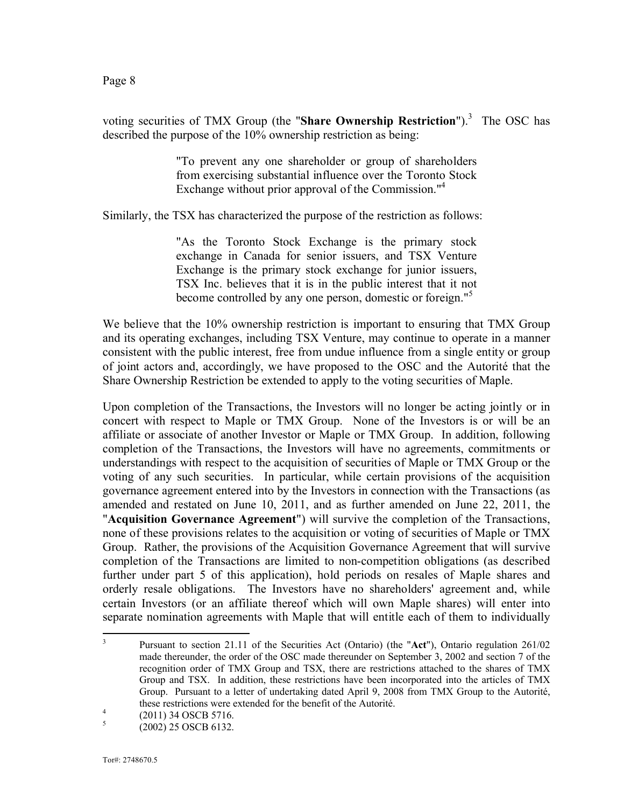voting securities of TMX Group (the "Share Ownership Restriction").<sup>3</sup> The OSC has described the purpose of the 10% ownership restriction as being:

> "To prevent any one shareholder or group of shareholders from exercising substantial influence over the Toronto Stock Exchange without prior approval of the Commission."<sup>4</sup>

Similarly, the TSX has characterized the purpose of the restriction as follows:

"As the Toronto Stock Exchange is the primary stock exchange in Canada for senior issuers, and TSX Venture Exchange is the primary stock exchange for junior issuers, TSX Inc. believes that it is in the public interest that it not become controlled by any one person, domestic or foreign."<sup>5</sup>

We believe that the 10% ownership restriction is important to ensuring that TMX Group and its operating exchanges, including TSX Venture, may continue to operate in a manner consistent with the public interest, free from undue influence from a single entity or group of joint actors and, accordingly, we have proposed to the OSC and the Autorité that the Share Ownership Restriction be extended to apply to the voting securities of Maple.

Upon completion of the Transactions, the Investors will no longer be acting jointly or in concert with respect to Maple or TMX Group. None of the Investors is or will be an affiliate or associate of another Investor or Maple or TMX Group. In addition, following completion of the Transactions, the Investors will have no agreements, commitments or understandings with respect to the acquisition of securities of Maple or TMX Group or the voting of any such securities. In particular, while certain provisions of the acquisition governance agreement entered into by the Investors in connection with the Transactions (as amended and restated on June 10, 2011, and as further amended on June 22, 2011, the "**Acquisition Governance Agreement**") will survive the completion of the Transactions, none of these provisions relates to the acquisition or voting of securities of Maple or TMX Group. Rather, the provisions of the Acquisition Governance Agreement that will survive completion of the Transactions are limited to non-competition obligations (as described further under part 5 of this application), hold periods on resales of Maple shares and orderly resale obligations. The Investors have no shareholders' agreement and, while certain Investors (or an affiliate thereof which will own Maple shares) will enter into separate nomination agreements with Maple that will entitle each of them to individually

<sup>3</sup> Pursuant to section 21.11 of the Securities Act (Ontario) (the "**Act**"), Ontario regulation 261/02 made thereunder, the order of the OSC made thereunder on September 3, 2002 and section 7 of the recognition order of TMX Group and TSX, there are restrictions attached to the shares of TMX Group and TSX. In addition, these restrictions have been incorporated into the articles of TMX Group. Pursuant to a letter of undertaking dated April 9, 2008 from TMX Group to the Autorité, these restrictions were extended for the benefit of the Autorité.

<sup>4</sup> (2011) 34 OSCB 5716.

<sup>5</sup> (2002) 25 OSCB 6132.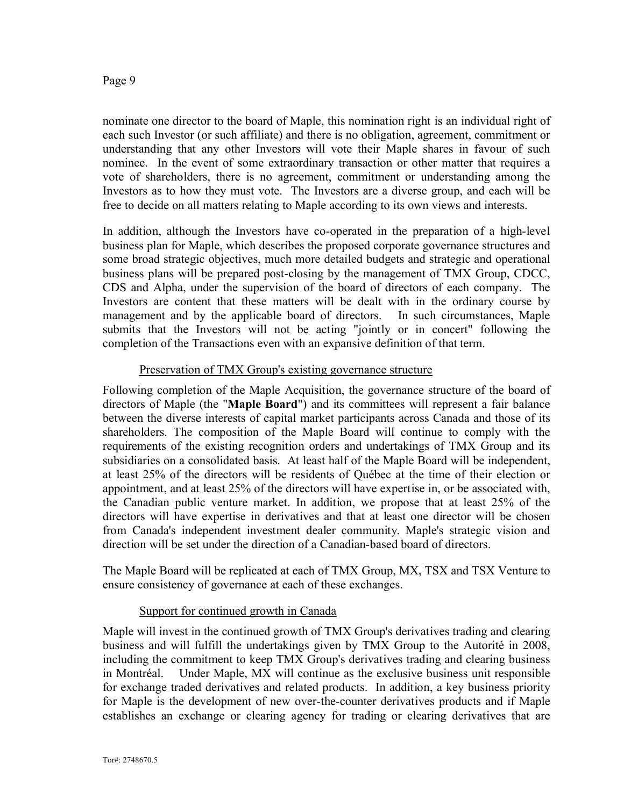nominate one director to the board of Maple, this nomination right is an individual right of each such Investor (or such affiliate) and there is no obligation, agreement, commitment or understanding that any other Investors will vote their Maple shares in favour of such nominee. In the event of some extraordinary transaction or other matter that requires a vote of shareholders, there is no agreement, commitment or understanding among the Investors as to how they must vote. The Investors are a diverse group, and each will be free to decide on all matters relating to Maple according to its own views and interests.

In addition, although the Investors have co-operated in the preparation of a high-level business plan for Maple, which describes the proposed corporate governance structures and some broad strategic objectives, much more detailed budgets and strategic and operational business plans will be prepared post-closing by the management of TMX Group, CDCC, CDS and Alpha, under the supervision of the board of directors of each company. The Investors are content that these matters will be dealt with in the ordinary course by management and by the applicable board of directors. In such circumstances, Maple submits that the Investors will not be acting "jointly or in concert" following the completion of the Transactions even with an expansive definition of that term.

### Preservation of TMX Group's existing governance structure

Following completion of the Maple Acquisition, the governance structure of the board of directors of Maple (the "**Maple Board**") and its committees will represent a fair balance between the diverse interests of capital market participants across Canada and those of its shareholders. The composition of the Maple Board will continue to comply with the requirements of the existing recognition orders and undertakings of TMX Group and its subsidiaries on a consolidated basis. At least half of the Maple Board will be independent, at least 25% of the directors will be residents of Québec at the time of their election or appointment, and at least 25% of the directors will have expertise in, or be associated with, the Canadian public venture market. In addition, we propose that at least 25% of the directors will have expertise in derivatives and that at least one director will be chosen from Canada's independent investment dealer community. Maple's strategic vision and direction will be set under the direction of a Canadian-based board of directors.

The Maple Board will be replicated at each of TMX Group, MX, TSX and TSX Venture to ensure consistency of governance at each of these exchanges.

### Support for continued growth in Canada

Maple will invest in the continued growth of TMX Group's derivatives trading and clearing business and will fulfill the undertakings given by TMX Group to the Autorité in 2008, including the commitment to keep TMX Group's derivatives trading and clearing business in Montréal. Under Maple, MX will continue as the exclusive business unit responsible for exchange traded derivatives and related products. In addition, a key business priority for Maple is the development of new over-the-counter derivatives products and if Maple establishes an exchange or clearing agency for trading or clearing derivatives that are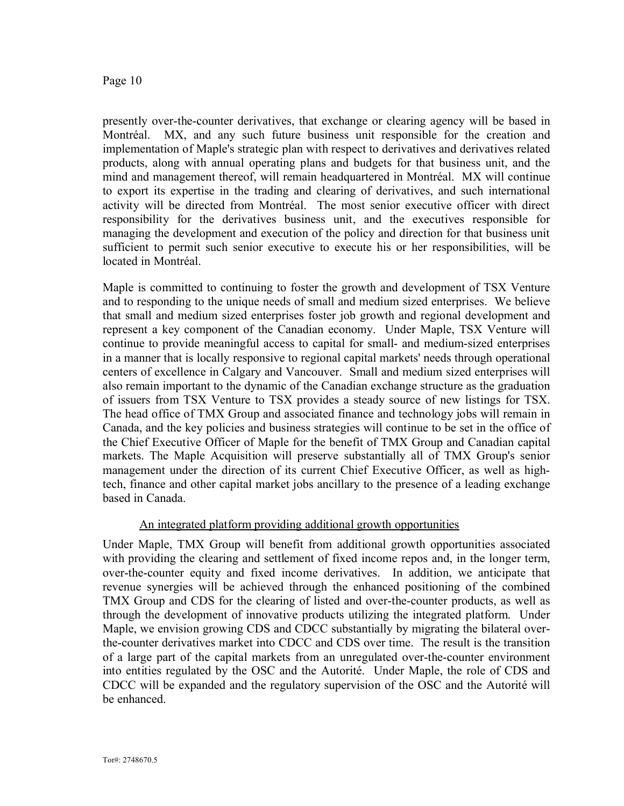presently over-the-counter derivatives, that exchange or clearing agency will be based in Montréal. MX, and any such future business unit responsible for the creation and implementation of Maple's strategic plan with respect to derivatives and derivatives related products, along with annual operating plans and budgets for that business unit, and the mind and management thereof, will remain headquartered in Montréal. MX will continue to export its expertise in the trading and clearing of derivatives, and such international activity will be directed from Montréal. The most senior executive officer with direct responsibility for the derivatives business unit, and the executives responsible for managing the development and execution of the policy and direction for that business unit sufficient to permit such senior executive to execute his or her responsibilities, will be located in Montréal.

Maple is committed to continuing to foster the growth and development of TSX Venture and to responding to the unique needs of small and medium sized enterprises. We believe that small and medium sized enterprises foster job growth and regional development and represent a key component of the Canadian economy. Under Maple, TSX Venture will continue to provide meaningful access to capital for small- and medium-sized enterprises in a manner that is locally responsive to regional capital markets' needs through operational centers of excellence in Calgary and Vancouver. Small and medium sized enterprises will also remain important to the dynamic of the Canadian exchange structure as the graduation of issuers from TSX Venture to TSX provides a steady source of new listings for TSX. The head office of TMX Group and associated finance and technology jobs will remain in Canada, and the key policies and business strategies will continue to be set in the office of the Chief Executive Officer of Maple for the benefit of TMX Group and Canadian capital markets. The Maple Acquisition will preserve substantially all of TMX Group's senior management under the direction of its current Chief Executive Officer, as well as hightech, finance and other capital market jobs ancillary to the presence of a leading exchange based in Canada.

### An integrated platform providing additional growth opportunities

Under Maple, TMX Group will benefit from additional growth opportunities associated with providing the clearing and settlement of fixed income repos and, in the longer term, over-the-counter equity and fixed income derivatives. In addition, we anticipate that revenue synergies will be achieved through the enhanced positioning of the combined TMX Group and CDS for the clearing of listed and over-the-counter products, as well as through the development of innovative products utilizing the integrated platform. Under Maple, we envision growing CDS and CDCC substantially by migrating the bilateral overthe-counter derivatives market into CDCC and CDS over time. The result is the transition of a large part of the capital markets from an unregulated over-the-counter environment into entities regulated by the OSC and the Autorité. Under Maple, the role of CDS and CDCC will be expanded and the regulatory supervision of the OSC and the Autorité will be enhanced.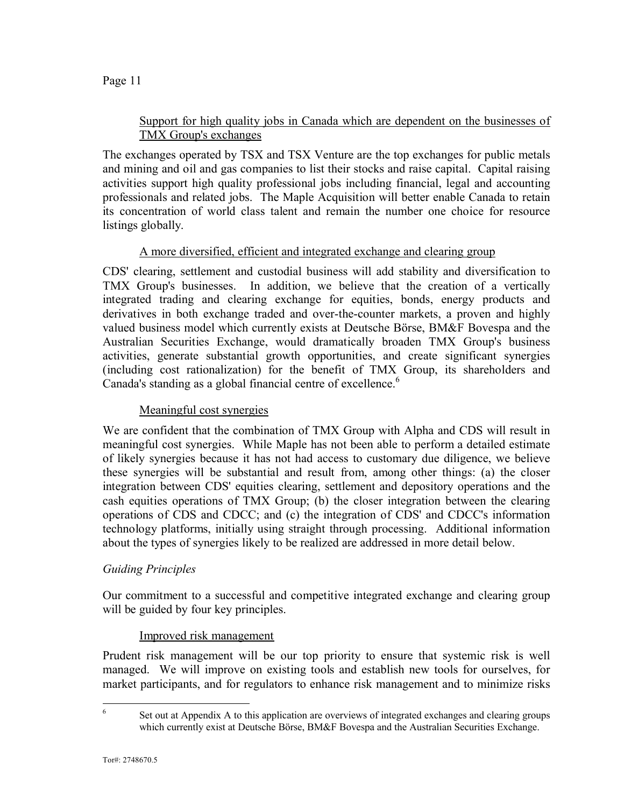### Support for high quality jobs in Canada which are dependent on the businesses of TMX Group's exchanges

The exchanges operated by TSX and TSX Venture are the top exchanges for public metals and mining and oil and gas companies to list their stocks and raise capital. Capital raising activities support high quality professional jobs including financial, legal and accounting professionals and related jobs. The Maple Acquisition will better enable Canada to retain its concentration of world class talent and remain the number one choice for resource listings globally.

## A more diversified, efficient and integrated exchange and clearing group

CDS' clearing, settlement and custodial business will add stability and diversification to TMX Group's businesses. In addition, we believe that the creation of a vertically integrated trading and clearing exchange for equities, bonds, energy products and derivatives in both exchange traded and over-the-counter markets, a proven and highly valued business model which currently exists at Deutsche Börse, BM&F Bovespa and the Australian Securities Exchange, would dramatically broaden TMX Group's business activities, generate substantial growth opportunities, and create significant synergies (including cost rationalization) for the benefit of TMX Group, its shareholders and Canada's standing as a global financial centre of excellence.<sup>6</sup>

### Meaningful cost synergies

We are confident that the combination of TMX Group with Alpha and CDS will result in meaningful cost synergies. While Maple has not been able to perform a detailed estimate of likely synergies because it has not had access to customary due diligence, we believe these synergies will be substantial and result from, among other things: (a) the closer integration between CDS' equities clearing, settlement and depository operations and the cash equities operations of TMX Group; (b) the closer integration between the clearing operations of CDS and CDCC; and (c) the integration of CDS' and CDCC's information technology platforms, initially using straight through processing. Additional information about the types of synergies likely to be realized are addressed in more detail below.

### *Guiding Principles*

Our commitment to a successful and competitive integrated exchange and clearing group will be guided by four key principles.

### Improved risk management

Prudent risk management will be our top priority to ensure that systemic risk is well managed. We will improve on existing tools and establish new tools for ourselves, for market participants, and for regulators to enhance risk management and to minimize risks

6

Set out at Appendix A to this application are overviews of integrated exchanges and clearing groups which currently exist at Deutsche Börse, BM&F Bovespa and the Australian Securities Exchange.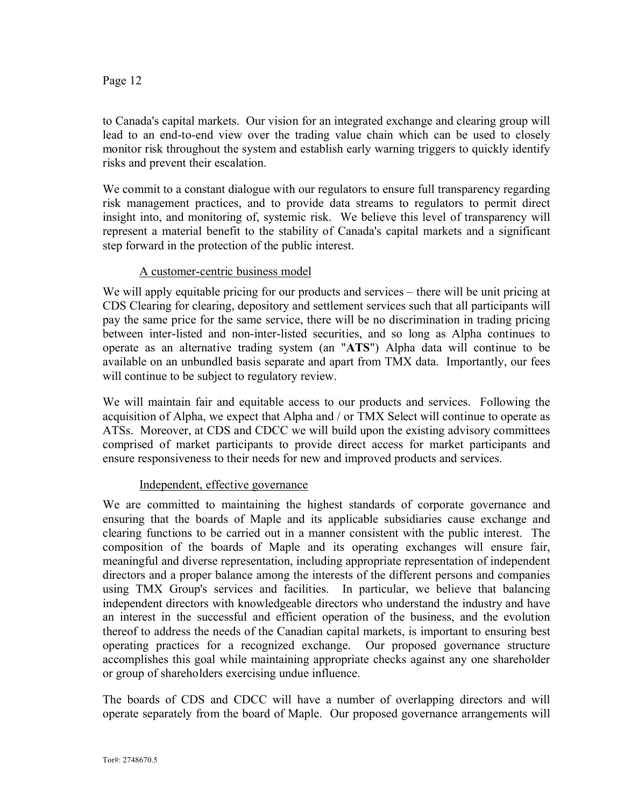to Canada's capital markets. Our vision for an integrated exchange and clearing group will lead to an end-to-end view over the trading value chain which can be used to closely monitor risk throughout the system and establish early warning triggers to quickly identify risks and prevent their escalation.

We commit to a constant dialogue with our regulators to ensure full transparency regarding risk management practices, and to provide data streams to regulators to permit direct insight into, and monitoring of, systemic risk. We believe this level of transparency will represent a material benefit to the stability of Canada's capital markets and a significant step forward in the protection of the public interest.

### A customer-centric business model

We will apply equitable pricing for our products and services – there will be unit pricing at CDS Clearing for clearing, depository and settlement services such that all participants will pay the same price for the same service, there will be no discrimination in trading pricing between inter-listed and non-inter-listed securities, and so long as Alpha continues to operate as an alternative trading system (an "**ATS**") Alpha data will continue to be available on an unbundled basis separate and apart from TMX data. Importantly, our fees will continue to be subject to regulatory review.

We will maintain fair and equitable access to our products and services. Following the acquisition of Alpha, we expect that Alpha and / or TMX Select will continue to operate as ATSs. Moreover, at CDS and CDCC we will build upon the existing advisory committees comprised of market participants to provide direct access for market participants and ensure responsiveness to their needs for new and improved products and services.

### Independent, effective governance

We are committed to maintaining the highest standards of corporate governance and ensuring that the boards of Maple and its applicable subsidiaries cause exchange and clearing functions to be carried out in a manner consistent with the public interest. The composition of the boards of Maple and its operating exchanges will ensure fair, meaningful and diverse representation, including appropriate representation of independent directors and a proper balance among the interests of the different persons and companies using TMX Group's services and facilities. In particular, we believe that balancing independent directors with knowledgeable directors who understand the industry and have an interest in the successful and efficient operation of the business, and the evolution thereof to address the needs of the Canadian capital markets, is important to ensuring best operating practices for a recognized exchange. Our proposed governance structure accomplishes this goal while maintaining appropriate checks against any one shareholder or group of shareholders exercising undue influence.

The boards of CDS and CDCC will have a number of overlapping directors and will operate separately from the board of Maple. Our proposed governance arrangements will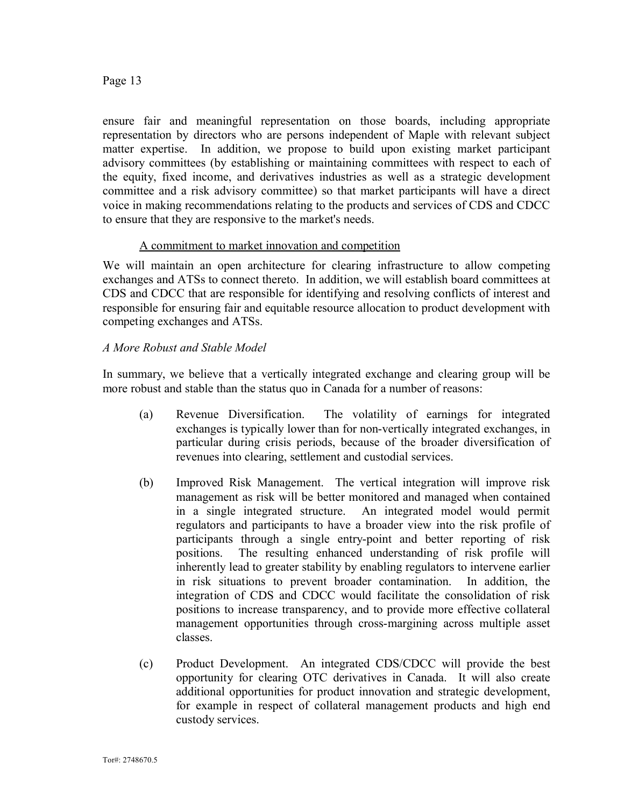ensure fair and meaningful representation on those boards, including appropriate representation by directors who are persons independent of Maple with relevant subject matter expertise. In addition, we propose to build upon existing market participant advisory committees (by establishing or maintaining committees with respect to each of the equity, fixed income, and derivatives industries as well as a strategic development committee and a risk advisory committee) so that market participants will have a direct voice in making recommendations relating to the products and services of CDS and CDCC to ensure that they are responsive to the market's needs.

### A commitment to market innovation and competition

We will maintain an open architecture for clearing infrastructure to allow competing exchanges and ATSs to connect thereto. In addition, we will establish board committees at CDS and CDCC that are responsible for identifying and resolving conflicts of interest and responsible for ensuring fair and equitable resource allocation to product development with competing exchanges and ATSs.

### *A More Robust and Stable Model*

In summary, we believe that a vertically integrated exchange and clearing group will be more robust and stable than the status quo in Canada for a number of reasons:

- (a) Revenue Diversification. The volatility of earnings for integrated exchanges is typically lower than for non-vertically integrated exchanges, in particular during crisis periods, because of the broader diversification of revenues into clearing, settlement and custodial services.
- (b) Improved Risk Management. The vertical integration will improve risk management as risk will be better monitored and managed when contained in a single integrated structure. An integrated model would permit regulators and participants to have a broader view into the risk profile of participants through a single entry-point and better reporting of risk positions. The resulting enhanced understanding of risk profile will inherently lead to greater stability by enabling regulators to intervene earlier in risk situations to prevent broader contamination. In addition, the integration of CDS and CDCC would facilitate the consolidation of risk positions to increase transparency, and to provide more effective collateral management opportunities through cross-margining across multiple asset classes.
- (c) Product Development. An integrated CDS/CDCC will provide the best opportunity for clearing OTC derivatives in Canada. It will also create additional opportunities for product innovation and strategic development, for example in respect of collateral management products and high end custody services.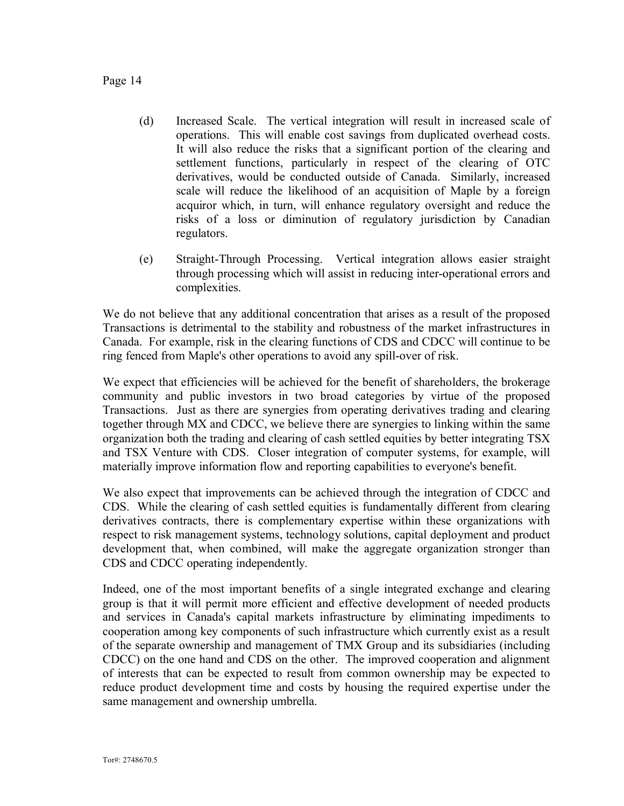- (d) Increased Scale. The vertical integration will result in increased scale of operations. This will enable cost savings from duplicated overhead costs. It will also reduce the risks that a significant portion of the clearing and settlement functions, particularly in respect of the clearing of OTC derivatives, would be conducted outside of Canada. Similarly, increased scale will reduce the likelihood of an acquisition of Maple by a foreign acquiror which, in turn, will enhance regulatory oversight and reduce the risks of a loss or diminution of regulatory jurisdiction by Canadian regulators.
- (e) Straight-Through Processing. Vertical integration allows easier straight through processing which will assist in reducing inter-operational errors and complexities.

We do not believe that any additional concentration that arises as a result of the proposed Transactions is detrimental to the stability and robustness of the market infrastructures in Canada. For example, risk in the clearing functions of CDS and CDCC will continue to be ring fenced from Maple's other operations to avoid any spill-over of risk.

We expect that efficiencies will be achieved for the benefit of shareholders, the brokerage community and public investors in two broad categories by virtue of the proposed Transactions. Just as there are synergies from operating derivatives trading and clearing together through MX and CDCC, we believe there are synergies to linking within the same organization both the trading and clearing of cash settled equities by better integrating TSX and TSX Venture with CDS. Closer integration of computer systems, for example, will materially improve information flow and reporting capabilities to everyone's benefit.

We also expect that improvements can be achieved through the integration of CDCC and CDS. While the clearing of cash settled equities is fundamentally different from clearing derivatives contracts, there is complementary expertise within these organizations with respect to risk management systems, technology solutions, capital deployment and product development that, when combined, will make the aggregate organization stronger than CDS and CDCC operating independently.

Indeed, one of the most important benefits of a single integrated exchange and clearing group is that it will permit more efficient and effective development of needed products and services in Canada's capital markets infrastructure by eliminating impediments to cooperation among key components of such infrastructure which currently exist as a result of the separate ownership and management of TMX Group and its subsidiaries (including CDCC) on the one hand and CDS on the other. The improved cooperation and alignment of interests that can be expected to result from common ownership may be expected to reduce product development time and costs by housing the required expertise under the same management and ownership umbrella.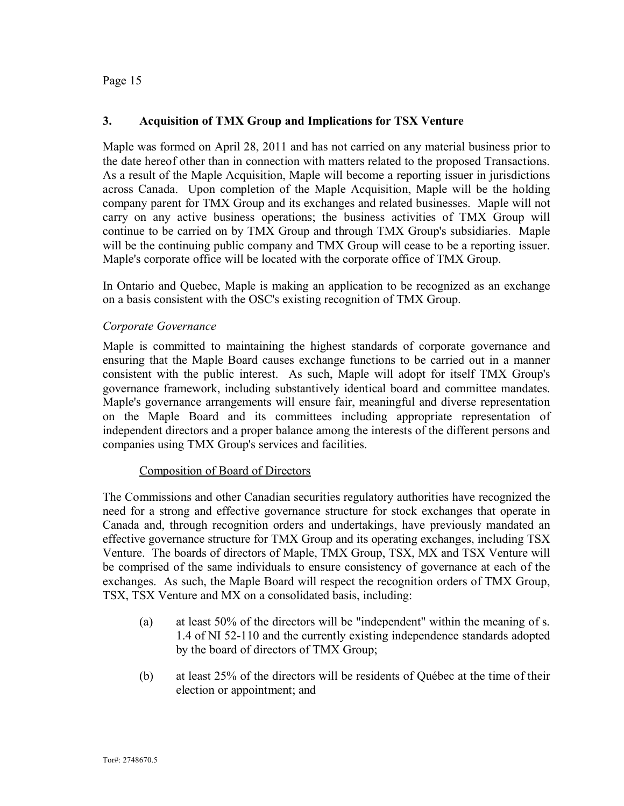### **3. Acquisition of TMX Group and Implications for TSX Venture**

Maple was formed on April 28, 2011 and has not carried on any material business prior to the date hereof other than in connection with matters related to the proposed Transactions. As a result of the Maple Acquisition, Maple will become a reporting issuer in jurisdictions across Canada. Upon completion of the Maple Acquisition, Maple will be the holding company parent for TMX Group and its exchanges and related businesses. Maple will not carry on any active business operations; the business activities of TMX Group will continue to be carried on by TMX Group and through TMX Group's subsidiaries. Maple will be the continuing public company and TMX Group will cease to be a reporting issuer. Maple's corporate office will be located with the corporate office of TMX Group.

In Ontario and Quebec, Maple is making an application to be recognized as an exchange on a basis consistent with the OSC's existing recognition of TMX Group.

#### *Corporate Governance*

Maple is committed to maintaining the highest standards of corporate governance and ensuring that the Maple Board causes exchange functions to be carried out in a manner consistent with the public interest. As such, Maple will adopt for itself TMX Group's governance framework, including substantively identical board and committee mandates. Maple's governance arrangements will ensure fair, meaningful and diverse representation on the Maple Board and its committees including appropriate representation of independent directors and a proper balance among the interests of the different persons and companies using TMX Group's services and facilities.

#### Composition of Board of Directors

The Commissions and other Canadian securities regulatory authorities have recognized the need for a strong and effective governance structure for stock exchanges that operate in Canada and, through recognition orders and undertakings, have previously mandated an effective governance structure for TMX Group and its operating exchanges, including TSX Venture. The boards of directors of Maple, TMX Group, TSX, MX and TSX Venture will be comprised of the same individuals to ensure consistency of governance at each of the exchanges. As such, the Maple Board will respect the recognition orders of TMX Group, TSX, TSX Venture and MX on a consolidated basis, including:

- (a) at least 50% of the directors will be "independent" within the meaning of s. 1.4 of NI 52-110 and the currently existing independence standards adopted by the board of directors of TMX Group;
- (b) at least 25% of the directors will be residents of Québec at the time of their election or appointment; and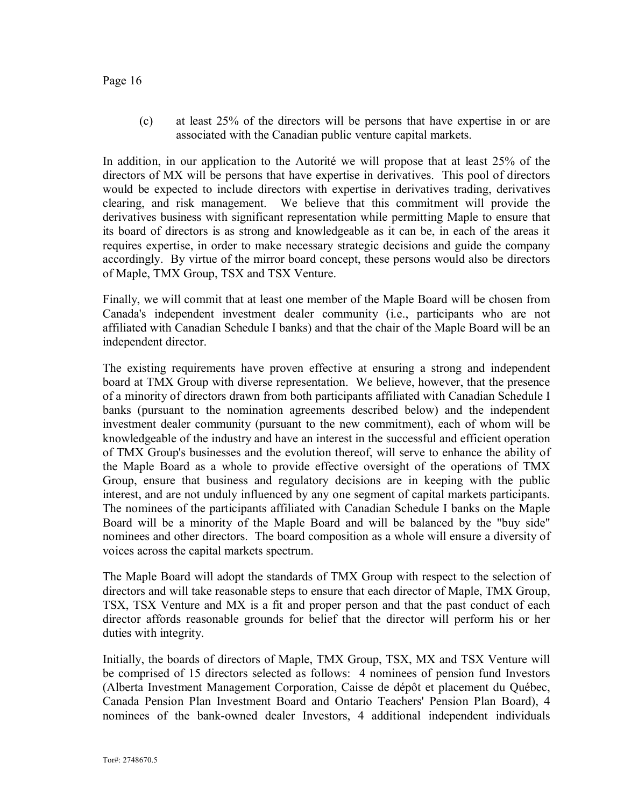(c) at least 25% of the directors will be persons that have expertise in or are associated with the Canadian public venture capital markets.

In addition, in our application to the Autorité we will propose that at least 25% of the directors of MX will be persons that have expertise in derivatives. This pool of directors would be expected to include directors with expertise in derivatives trading, derivatives clearing, and risk management. We believe that this commitment will provide the derivatives business with significant representation while permitting Maple to ensure that its board of directors is as strong and knowledgeable as it can be, in each of the areas it requires expertise, in order to make necessary strategic decisions and guide the company accordingly. By virtue of the mirror board concept, these persons would also be directors of Maple, TMX Group, TSX and TSX Venture.

Finally, we will commit that at least one member of the Maple Board will be chosen from Canada's independent investment dealer community (i.e., participants who are not affiliated with Canadian Schedule I banks) and that the chair of the Maple Board will be an independent director.

The existing requirements have proven effective at ensuring a strong and independent board at TMX Group with diverse representation. We believe, however, that the presence of a minority of directors drawn from both participants affiliated with Canadian Schedule I banks (pursuant to the nomination agreements described below) and the independent investment dealer community (pursuant to the new commitment), each of whom will be knowledgeable of the industry and have an interest in the successful and efficient operation of TMX Group's businesses and the evolution thereof, will serve to enhance the ability of the Maple Board as a whole to provide effective oversight of the operations of TMX Group, ensure that business and regulatory decisions are in keeping with the public interest, and are not unduly influenced by any one segment of capital markets participants. The nominees of the participants affiliated with Canadian Schedule I banks on the Maple Board will be a minority of the Maple Board and will be balanced by the "buy side" nominees and other directors. The board composition as a whole will ensure a diversity of voices across the capital markets spectrum.

The Maple Board will adopt the standards of TMX Group with respect to the selection of directors and will take reasonable steps to ensure that each director of Maple, TMX Group, TSX, TSX Venture and MX is a fit and proper person and that the past conduct of each director affords reasonable grounds for belief that the director will perform his or her duties with integrity.

Initially, the boards of directors of Maple, TMX Group, TSX, MX and TSX Venture will be comprised of 15 directors selected as follows: 4 nominees of pension fund Investors (Alberta Investment Management Corporation, Caisse de dépôt et placement du Québec, Canada Pension Plan Investment Board and Ontario Teachers' Pension Plan Board), 4 nominees of the bank-owned dealer Investors, 4 additional independent individuals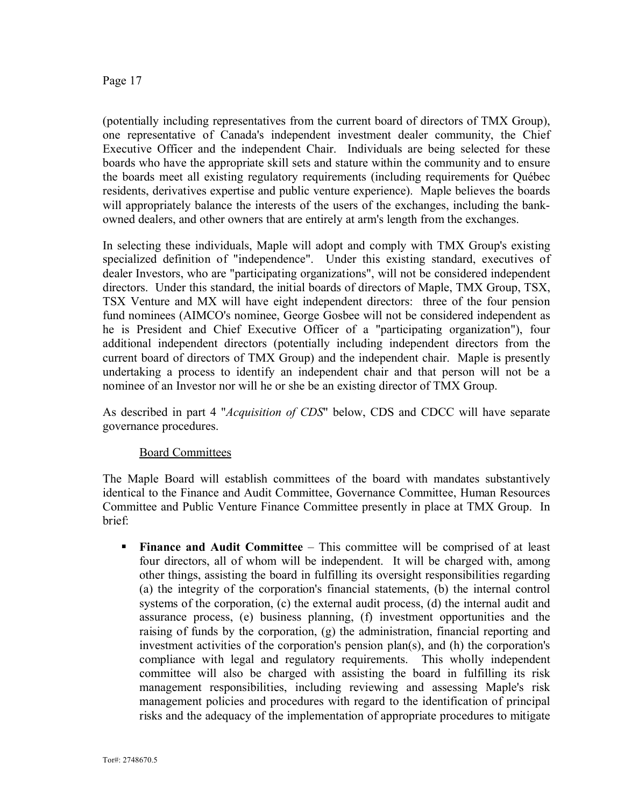(potentially including representatives from the current board of directors of TMX Group), one representative of Canada's independent investment dealer community, the Chief Executive Officer and the independent Chair. Individuals are being selected for these boards who have the appropriate skill sets and stature within the community and to ensure the boards meet all existing regulatory requirements (including requirements for Québec residents, derivatives expertise and public venture experience). Maple believes the boards will appropriately balance the interests of the users of the exchanges, including the bankowned dealers, and other owners that are entirely at arm's length from the exchanges.

In selecting these individuals, Maple will adopt and comply with TMX Group's existing specialized definition of "independence". Under this existing standard, executives of dealer Investors, who are "participating organizations", will not be considered independent directors. Under this standard, the initial boards of directors of Maple, TMX Group, TSX, TSX Venture and MX will have eight independent directors: three of the four pension fund nominees (AIMCO's nominee, George Gosbee will not be considered independent as he is President and Chief Executive Officer of a "participating organization"), four additional independent directors (potentially including independent directors from the current board of directors of TMX Group) and the independent chair. Maple is presently undertaking a process to identify an independent chair and that person will not be a nominee of an Investor nor will he or she be an existing director of TMX Group.

As described in part 4 "*Acquisition of CDS*" below, CDS and CDCC will have separate governance procedures.

### Board Committees

The Maple Board will establish committees of the board with mandates substantively identical to the Finance and Audit Committee, Governance Committee, Human Resources Committee and Public Venture Finance Committee presently in place at TMX Group. In brief:

**Finance and Audit Committee – This committee will be comprised of at least** four directors, all of whom will be independent. It will be charged with, among other things, assisting the board in fulfilling its oversight responsibilities regarding (a) the integrity of the corporation's financial statements, (b) the internal control systems of the corporation, (c) the external audit process, (d) the internal audit and assurance process, (e) business planning, (f) investment opportunities and the raising of funds by the corporation, (g) the administration, financial reporting and investment activities of the corporation's pension plan(s), and (h) the corporation's compliance with legal and regulatory requirements. This wholly independent committee will also be charged with assisting the board in fulfilling its risk management responsibilities, including reviewing and assessing Maple's risk management policies and procedures with regard to the identification of principal risks and the adequacy of the implementation of appropriate procedures to mitigate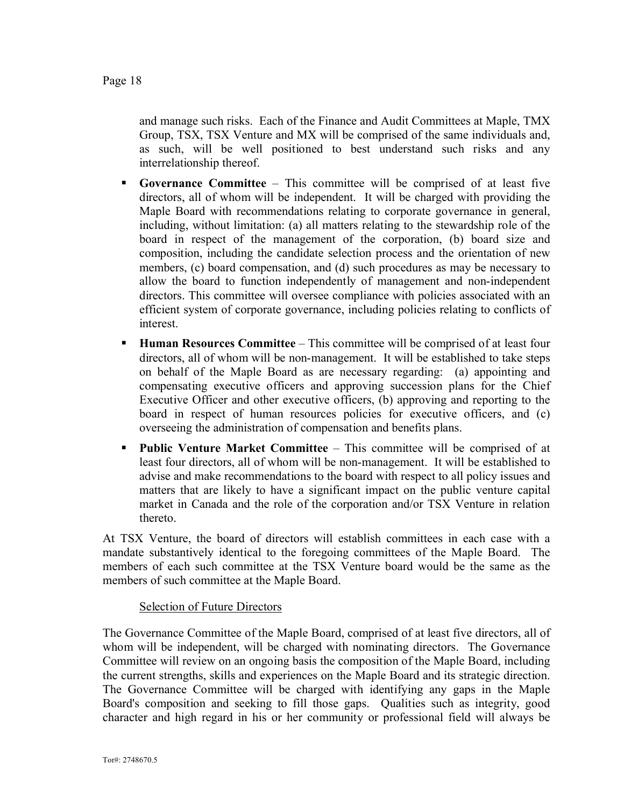and manage such risks. Each of the Finance and Audit Committees at Maple, TMX Group, TSX, TSX Venture and MX will be comprised of the same individuals and, as such, will be well positioned to best understand such risks and any interrelationship thereof.

- § **Governance Committee** This committee will be comprised of at least five directors, all of whom will be independent. It will be charged with providing the Maple Board with recommendations relating to corporate governance in general, including, without limitation: (a) all matters relating to the stewardship role of the board in respect of the management of the corporation, (b) board size and composition, including the candidate selection process and the orientation of new members, (c) board compensation, and (d) such procedures as may be necessary to allow the board to function independently of management and non-independent directors. This committee will oversee compliance with policies associated with an efficient system of corporate governance, including policies relating to conflicts of interest.
- § **Human Resources Committee** This committee will be comprised of at least four directors, all of whom will be non-management. It will be established to take steps on behalf of the Maple Board as are necessary regarding: (a) appointing and compensating executive officers and approving succession plans for the Chief Executive Officer and other executive officers, (b) approving and reporting to the board in respect of human resources policies for executive officers, and (c) overseeing the administration of compensation and benefits plans.
- § **Public Venture Market Committee** This committee will be comprised of at least four directors, all of whom will be non-management. It will be established to advise and make recommendations to the board with respect to all policy issues and matters that are likely to have a significant impact on the public venture capital market in Canada and the role of the corporation and/or TSX Venture in relation thereto.

At TSX Venture, the board of directors will establish committees in each case with a mandate substantively identical to the foregoing committees of the Maple Board. The members of each such committee at the TSX Venture board would be the same as the members of such committee at the Maple Board.

### Selection of Future Directors

The Governance Committee of the Maple Board, comprised of at least five directors, all of whom will be independent, will be charged with nominating directors. The Governance Committee will review on an ongoing basis the composition of the Maple Board, including the current strengths, skills and experiences on the Maple Board and its strategic direction. The Governance Committee will be charged with identifying any gaps in the Maple Board's composition and seeking to fill those gaps. Qualities such as integrity, good character and high regard in his or her community or professional field will always be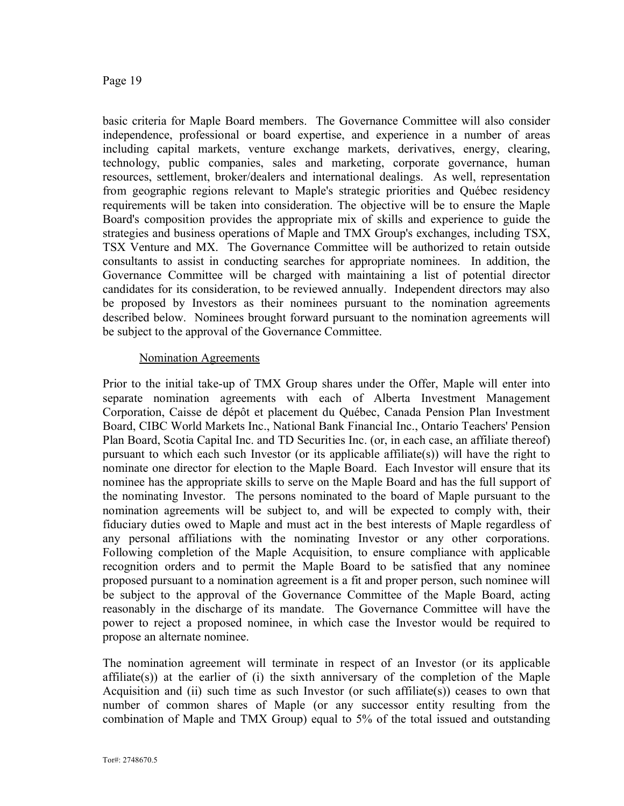basic criteria for Maple Board members. The Governance Committee will also consider independence, professional or board expertise, and experience in a number of areas including capital markets, venture exchange markets, derivatives, energy, clearing, technology, public companies, sales and marketing, corporate governance, human resources, settlement, broker/dealers and international dealings. As well, representation from geographic regions relevant to Maple's strategic priorities and Québec residency requirements will be taken into consideration. The objective will be to ensure the Maple Board's composition provides the appropriate mix of skills and experience to guide the strategies and business operations of Maple and TMX Group's exchanges, including TSX, TSX Venture and MX. The Governance Committee will be authorized to retain outside consultants to assist in conducting searches for appropriate nominees. In addition, the Governance Committee will be charged with maintaining a list of potential director candidates for its consideration, to be reviewed annually. Independent directors may also be proposed by Investors as their nominees pursuant to the nomination agreements described below. Nominees brought forward pursuant to the nomination agreements will be subject to the approval of the Governance Committee.

#### Nomination Agreements

Prior to the initial take-up of TMX Group shares under the Offer, Maple will enter into separate nomination agreements with each of Alberta Investment Management Corporation, Caisse de dépôt et placement du Québec, Canada Pension Plan Investment Board, CIBC World Markets Inc., National Bank Financial Inc., Ontario Teachers' Pension Plan Board, Scotia Capital Inc. and TD Securities Inc. (or, in each case, an affiliate thereof) pursuant to which each such Investor (or its applicable affiliate(s)) will have the right to nominate one director for election to the Maple Board. Each Investor will ensure that its nominee has the appropriate skills to serve on the Maple Board and has the full support of the nominating Investor. The persons nominated to the board of Maple pursuant to the nomination agreements will be subject to, and will be expected to comply with, their fiduciary duties owed to Maple and must act in the best interests of Maple regardless of any personal affiliations with the nominating Investor or any other corporations. Following completion of the Maple Acquisition, to ensure compliance with applicable recognition orders and to permit the Maple Board to be satisfied that any nominee proposed pursuant to a nomination agreement is a fit and proper person, such nominee will be subject to the approval of the Governance Committee of the Maple Board, acting reasonably in the discharge of its mandate. The Governance Committee will have the power to reject a proposed nominee, in which case the Investor would be required to propose an alternate nominee.

The nomination agreement will terminate in respect of an Investor (or its applicable affiliate(s)) at the earlier of (i) the sixth anniversary of the completion of the Maple Acquisition and (ii) such time as such Investor (or such affiliate(s)) ceases to own that number of common shares of Maple (or any successor entity resulting from the combination of Maple and TMX Group) equal to 5% of the total issued and outstanding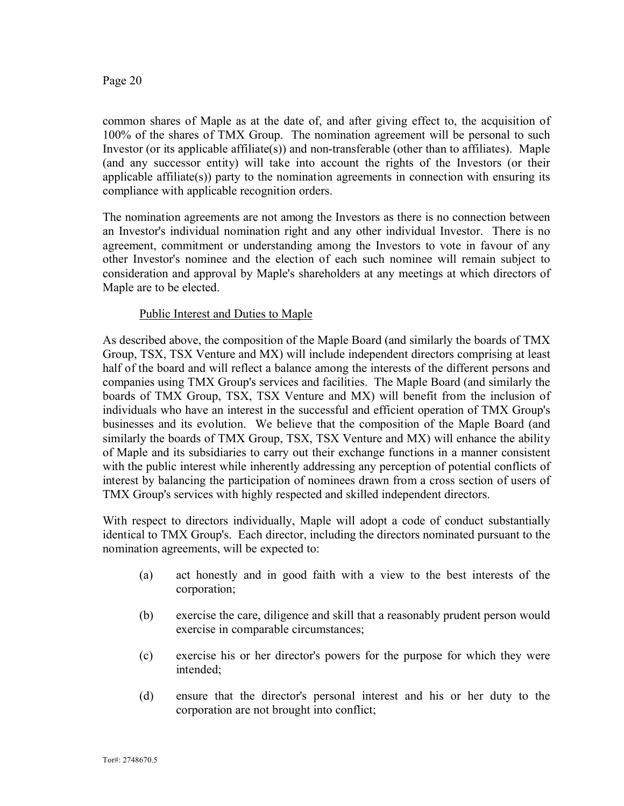common shares of Maple as at the date of, and after giving effect to, the acquisition of 100% of the shares of TMX Group. The nomination agreement will be personal to such Investor (or its applicable affiliate(s)) and non-transferable (other than to affiliates). Maple (and any successor entity) will take into account the rights of the Investors (or their applicable affiliate(s)) party to the nomination agreements in connection with ensuring its compliance with applicable recognition orders.

The nomination agreements are not among the Investors as there is no connection between an Investor's individual nomination right and any other individual Investor. There is no agreement, commitment or understanding among the Investors to vote in favour of any other Investor's nominee and the election of each such nominee will remain subject to consideration and approval by Maple's shareholders at any meetings at which directors of Maple are to be elected.

### Public Interest and Duties to Maple

As described above, the composition of the Maple Board (and similarly the boards of TMX Group, TSX, TSX Venture and MX) will include independent directors comprising at least half of the board and will reflect a balance among the interests of the different persons and companies using TMX Group's services and facilities. The Maple Board (and similarly the boards of TMX Group, TSX, TSX Venture and MX) will benefit from the inclusion of individuals who have an interest in the successful and efficient operation of TMX Group's businesses and its evolution. We believe that the composition of the Maple Board (and similarly the boards of TMX Group, TSX, TSX Venture and MX) will enhance the ability of Maple and its subsidiaries to carry out their exchange functions in a manner consistent with the public interest while inherently addressing any perception of potential conflicts of interest by balancing the participation of nominees drawn from a cross section of users of TMX Group's services with highly respected and skilled independent directors.

With respect to directors individually, Maple will adopt a code of conduct substantially identical to TMX Group's. Each director, including the directors nominated pursuant to the nomination agreements, will be expected to:

- (a) act honestly and in good faith with a view to the best interests of the corporation;
- (b) exercise the care, diligence and skill that a reasonably prudent person would exercise in comparable circumstances;
- (c) exercise his or her director's powers for the purpose for which they were intended;
- (d) ensure that the director's personal interest and his or her duty to the corporation are not brought into conflict;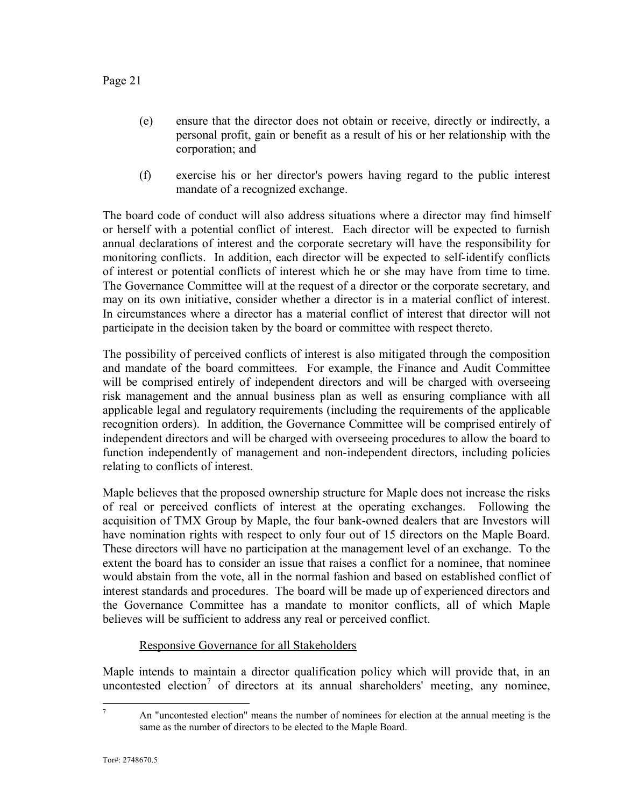- (e) ensure that the director does not obtain or receive, directly or indirectly, a personal profit, gain or benefit as a result of his or her relationship with the corporation; and
- (f) exercise his or her director's powers having regard to the public interest mandate of a recognized exchange.

The board code of conduct will also address situations where a director may find himself or herself with a potential conflict of interest. Each director will be expected to furnish annual declarations of interest and the corporate secretary will have the responsibility for monitoring conflicts. In addition, each director will be expected to self-identify conflicts of interest or potential conflicts of interest which he or she may have from time to time. The Governance Committee will at the request of a director or the corporate secretary, and may on its own initiative, consider whether a director is in a material conflict of interest. In circumstances where a director has a material conflict of interest that director will not participate in the decision taken by the board or committee with respect thereto.

The possibility of perceived conflicts of interest is also mitigated through the composition and mandate of the board committees. For example, the Finance and Audit Committee will be comprised entirely of independent directors and will be charged with overseeing risk management and the annual business plan as well as ensuring compliance with all applicable legal and regulatory requirements (including the requirements of the applicable recognition orders). In addition, the Governance Committee will be comprised entirely of independent directors and will be charged with overseeing procedures to allow the board to function independently of management and non-independent directors, including policies relating to conflicts of interest.

Maple believes that the proposed ownership structure for Maple does not increase the risks of real or perceived conflicts of interest at the operating exchanges. Following the acquisition of TMX Group by Maple, the four bank-owned dealers that are Investors will have nomination rights with respect to only four out of 15 directors on the Maple Board. These directors will have no participation at the management level of an exchange. To the extent the board has to consider an issue that raises a conflict for a nominee, that nominee would abstain from the vote, all in the normal fashion and based on established conflict of interest standards and procedures. The board will be made up of experienced directors and the Governance Committee has a mandate to monitor conflicts, all of which Maple believes will be sufficient to address any real or perceived conflict.

### Responsive Governance for all Stakeholders

Maple intends to maintain a director qualification policy which will provide that, in an uncontested election<sup>7</sup> of directors at its annual shareholders' meeting, any nominee,

<sup>&</sup>lt;sup>7</sup> An "uncontested election" means the number of nominees for election at the annual meeting is the same as the number of directors to be elected to the Maple Board.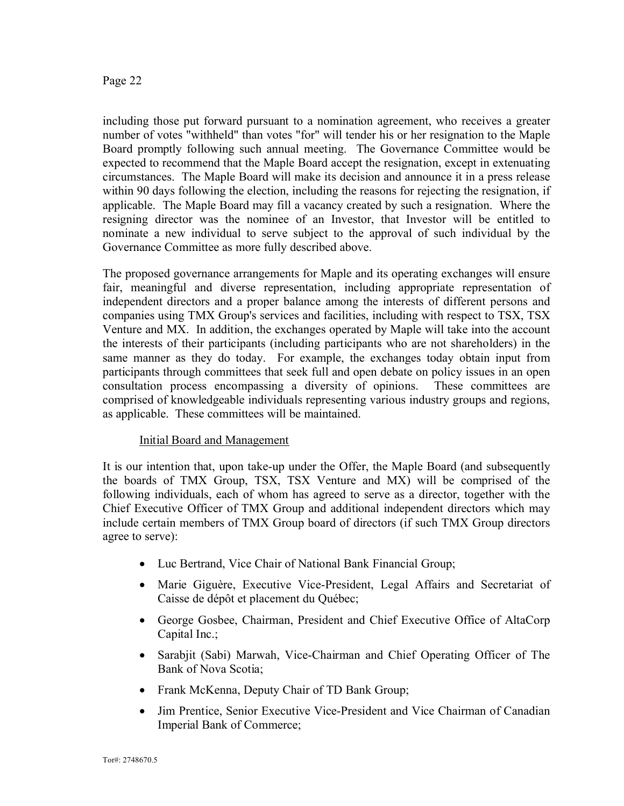including those put forward pursuant to a nomination agreement, who receives a greater number of votes "withheld" than votes "for" will tender his or her resignation to the Maple Board promptly following such annual meeting. The Governance Committee would be expected to recommend that the Maple Board accept the resignation, except in extenuating circumstances. The Maple Board will make its decision and announce it in a press release within 90 days following the election, including the reasons for rejecting the resignation, if applicable. The Maple Board may fill a vacancy created by such a resignation. Where the resigning director was the nominee of an Investor, that Investor will be entitled to nominate a new individual to serve subject to the approval of such individual by the Governance Committee as more fully described above.

The proposed governance arrangements for Maple and its operating exchanges will ensure fair, meaningful and diverse representation, including appropriate representation of independent directors and a proper balance among the interests of different persons and companies using TMX Group's services and facilities, including with respect to TSX, TSX Venture and MX. In addition, the exchanges operated by Maple will take into the account the interests of their participants (including participants who are not shareholders) in the same manner as they do today. For example, the exchanges today obtain input from participants through committees that seek full and open debate on policy issues in an open consultation process encompassing a diversity of opinions. These committees are comprised of knowledgeable individuals representing various industry groups and regions, as applicable. These committees will be maintained.

### Initial Board and Management

It is our intention that, upon take-up under the Offer, the Maple Board (and subsequently the boards of TMX Group, TSX, TSX Venture and MX) will be comprised of the following individuals, each of whom has agreed to serve as a director, together with the Chief Executive Officer of TMX Group and additional independent directors which may include certain members of TMX Group board of directors (if such TMX Group directors agree to serve):

- · Luc Bertrand, Vice Chair of National Bank Financial Group;
- · Marie Giguère, Executive Vice-President, Legal Affairs and Secretariat of Caisse de dépôt et placement du Québec;
- · George Gosbee, Chairman, President and Chief Executive Office of AltaCorp Capital Inc.;
- · Sarabjit (Sabi) Marwah, Vice-Chairman and Chief Operating Officer of The Bank of Nova Scotia;
- Frank McKenna, Deputy Chair of TD Bank Group;
- Jim Prentice, Senior Executive Vice-President and Vice Chairman of Canadian Imperial Bank of Commerce;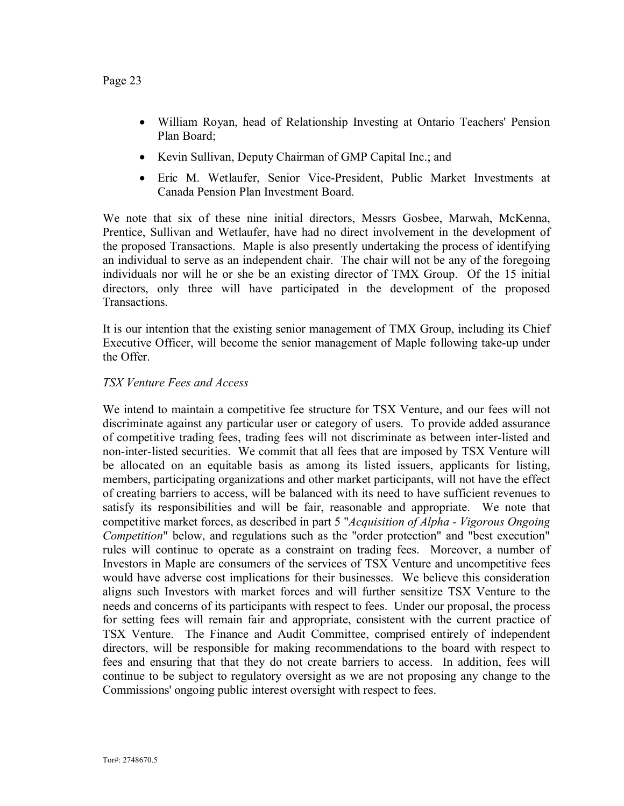- · William Royan, head of Relationship Investing at Ontario Teachers' Pension Plan Board;
- Kevin Sullivan, Deputy Chairman of GMP Capital Inc.; and
- · Eric M. Wetlaufer, Senior Vice-President, Public Market Investments at Canada Pension Plan Investment Board.

We note that six of these nine initial directors, Messrs Gosbee, Marwah, McKenna, Prentice, Sullivan and Wetlaufer, have had no direct involvement in the development of the proposed Transactions. Maple is also presently undertaking the process of identifying an individual to serve as an independent chair. The chair will not be any of the foregoing individuals nor will he or she be an existing director of TMX Group. Of the 15 initial directors, only three will have participated in the development of the proposed Transactions.

It is our intention that the existing senior management of TMX Group, including its Chief Executive Officer, will become the senior management of Maple following take-up under the Offer.

### *TSX Venture Fees and Access*

We intend to maintain a competitive fee structure for TSX Venture, and our fees will not discriminate against any particular user or category of users. To provide added assurance of competitive trading fees, trading fees will not discriminate as between inter-listed and non-inter-listed securities. We commit that all fees that are imposed by TSX Venture will be allocated on an equitable basis as among its listed issuers, applicants for listing, members, participating organizations and other market participants, will not have the effect of creating barriers to access, will be balanced with its need to have sufficient revenues to satisfy its responsibilities and will be fair, reasonable and appropriate. We note that competitive market forces, as described in part 5 "*Acquisition of Alpha - Vigorous Ongoing Competition*" below, and regulations such as the "order protection" and "best execution" rules will continue to operate as a constraint on trading fees. Moreover, a number of Investors in Maple are consumers of the services of TSX Venture and uncompetitive fees would have adverse cost implications for their businesses. We believe this consideration aligns such Investors with market forces and will further sensitize TSX Venture to the needs and concerns of its participants with respect to fees. Under our proposal, the process for setting fees will remain fair and appropriate, consistent with the current practice of TSX Venture. The Finance and Audit Committee, comprised entirely of independent directors, will be responsible for making recommendations to the board with respect to fees and ensuring that that they do not create barriers to access. In addition, fees will continue to be subject to regulatory oversight as we are not proposing any change to the Commissions' ongoing public interest oversight with respect to fees.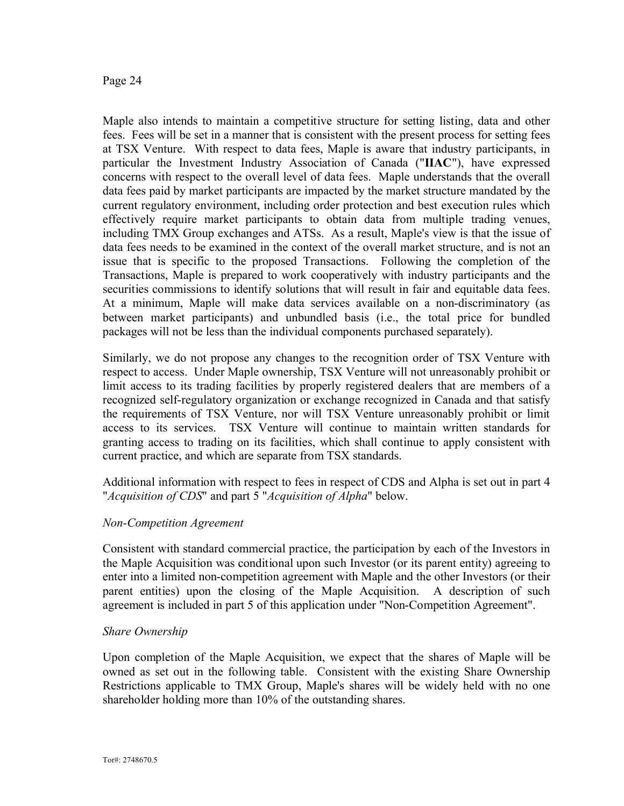Maple also intends to maintain a competitive structure for setting listing, data and other fees. Fees will be set in a manner that is consistent with the present process for setting fees at TSX Venture. With respect to data fees, Maple is aware that industry participants, in particular the Investment Industry Association of Canada ("**IIAC**"), have expressed concerns with respect to the overall level of data fees. Maple understands that the overall data fees paid by market participants are impacted by the market structure mandated by the current regulatory environment, including order protection and best execution rules which effectively require market participants to obtain data from multiple trading venues, including TMX Group exchanges and ATSs. As a result, Maple's view is that the issue of data fees needs to be examined in the context of the overall market structure, and is not an issue that is specific to the proposed Transactions. Following the completion of the Transactions, Maple is prepared to work cooperatively with industry participants and the securities commissions to identify solutions that will result in fair and equitable data fees. At a minimum, Maple will make data services available on a non-discriminatory (as between market participants) and unbundled basis (i.e., the total price for bundled packages will not be less than the individual components purchased separately).

Similarly, we do not propose any changes to the recognition order of TSX Venture with respect to access. Under Maple ownership, TSX Venture will not unreasonably prohibit or limit access to its trading facilities by properly registered dealers that are members of a recognized self-regulatory organization or exchange recognized in Canada and that satisfy the requirements of TSX Venture, nor will TSX Venture unreasonably prohibit or limit access to its services. TSX Venture will continue to maintain written standards for granting access to trading on its facilities, which shall continue to apply consistent with current practice, and which are separate from TSX standards.

Additional information with respect to fees in respect of CDS and Alpha is set out in part 4 "*Acquisition of CDS*" and part 5 "*Acquisition of Alpha*" below.

### *Non-Competition Agreement*

Consistent with standard commercial practice, the participation by each of the Investors in the Maple Acquisition was conditional upon such Investor (or its parent entity) agreeing to enter into a limited non-competition agreement with Maple and the other Investors (or their parent entities) upon the closing of the Maple Acquisition. A description of such agreement is included in part 5 of this application under "Non-Competition Agreement".

### *Share Ownership*

Upon completion of the Maple Acquisition, we expect that the shares of Maple will be owned as set out in the following table. Consistent with the existing Share Ownership Restrictions applicable to TMX Group, Maple's shares will be widely held with no one shareholder holding more than 10% of the outstanding shares.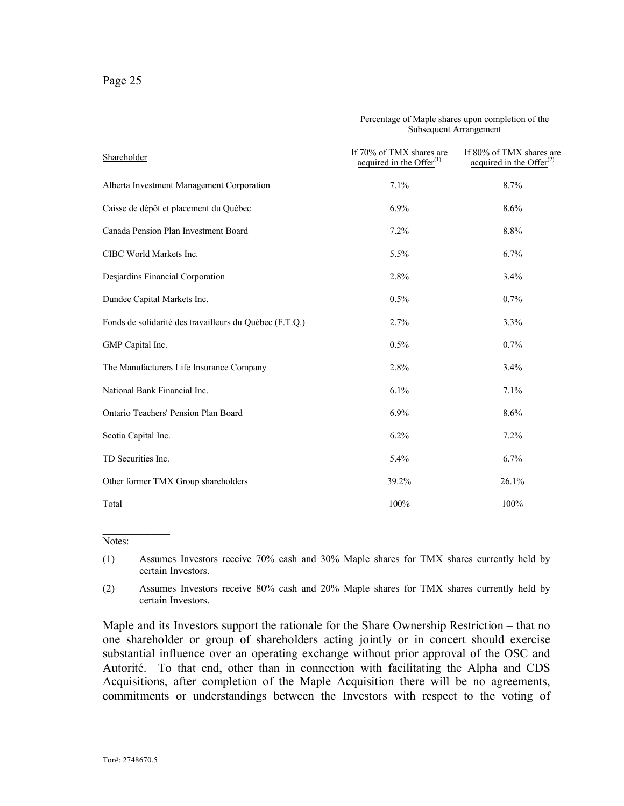| Shareholder                                             | <b>Subsequent Arrangement</b>                           |                                                         |
|---------------------------------------------------------|---------------------------------------------------------|---------------------------------------------------------|
|                                                         | If 70% of TMX shares are<br>acquired in the Offer $(1)$ | If 80% of TMX shares are<br>acquired in the Offer $(2)$ |
| Alberta Investment Management Corporation               | 7.1%                                                    | 8.7%                                                    |
| Caisse de dépôt et placement du Québec                  | $6.9\%$                                                 | 8.6%                                                    |
| Canada Pension Plan Investment Board                    | 7.2%                                                    | 8.8%                                                    |
| CIBC World Markets Inc.                                 | 5.5%                                                    | 6.7%                                                    |
| Desjardins Financial Corporation                        | 2.8%                                                    | 3.4%                                                    |
| Dundee Capital Markets Inc.                             | 0.5%                                                    | 0.7%                                                    |
| Fonds de solidarité des travailleurs du Québec (F.T.Q.) | 2.7%                                                    | 3.3%                                                    |
| GMP Capital Inc.                                        | 0.5%                                                    | 0.7%                                                    |
| The Manufacturers Life Insurance Company                | 2.8%                                                    | 3.4%                                                    |
| National Bank Financial Inc.                            | 6.1%                                                    | 7.1%                                                    |
| Ontario Teachers' Pension Plan Board                    | 6.9%                                                    | 8.6%                                                    |
| Scotia Capital Inc.                                     | 6.2%                                                    | 7.2%                                                    |
| TD Securities Inc.                                      | 5.4%                                                    | 6.7%                                                    |
| Other former TMX Group shareholders                     | 39.2%                                                   | 26.1%                                                   |
| Total                                                   | 100%                                                    | 100%                                                    |

#### Percentage of Maple shares upon completion of the Subsequent Arrangement

 $\frac{1}{2}$ Notes:

(1) Assumes Investors receive 70% cash and 30% Maple shares for TMX shares currently held by certain Investors.

(2) Assumes Investors receive 80% cash and 20% Maple shares for TMX shares currently held by certain Investors.

Maple and its Investors support the rationale for the Share Ownership Restriction – that no one shareholder or group of shareholders acting jointly or in concert should exercise substantial influence over an operating exchange without prior approval of the OSC and Autorité. To that end, other than in connection with facilitating the Alpha and CDS Acquisitions, after completion of the Maple Acquisition there will be no agreements, commitments or understandings between the Investors with respect to the voting of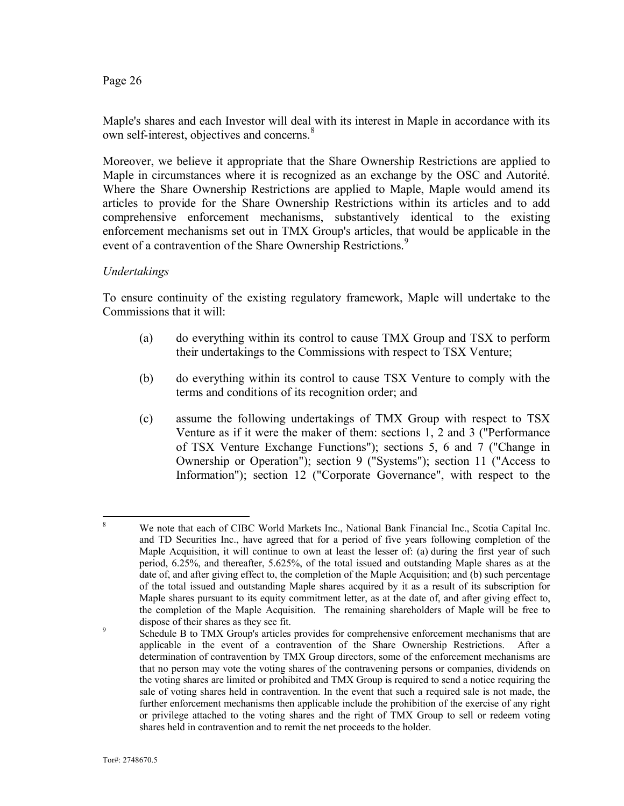Maple's shares and each Investor will deal with its interest in Maple in accordance with its own self-interest, objectives and concerns.<sup>8</sup>

Moreover, we believe it appropriate that the Share Ownership Restrictions are applied to Maple in circumstances where it is recognized as an exchange by the OSC and Autorité. Where the Share Ownership Restrictions are applied to Maple, Maple would amend its articles to provide for the Share Ownership Restrictions within its articles and to add comprehensive enforcement mechanisms, substantively identical to the existing enforcement mechanisms set out in TMX Group's articles, that would be applicable in the event of a contravention of the Share Ownership Restrictions.<sup>9</sup>

#### *Undertakings*

To ensure continuity of the existing regulatory framework, Maple will undertake to the Commissions that it will:

- (a) do everything within its control to cause TMX Group and TSX to perform their undertakings to the Commissions with respect to TSX Venture;
- (b) do everything within its control to cause TSX Venture to comply with the terms and conditions of its recognition order; and
- (c) assume the following undertakings of TMX Group with respect to TSX Venture as if it were the maker of them: sections 1, 2 and 3 ("Performance of TSX Venture Exchange Functions"); sections 5, 6 and 7 ("Change in Ownership or Operation"); section 9 ("Systems"); section 11 ("Access to Information"); section 12 ("Corporate Governance", with respect to the

9

We note that each of CIBC World Markets Inc., National Bank Financial Inc., Scotia Capital Inc. and TD Securities Inc., have agreed that for a period of five years following completion of the Maple Acquisition, it will continue to own at least the lesser of: (a) during the first year of such period, 6.25%, and thereafter, 5.625%, of the total issued and outstanding Maple shares as at the date of, and after giving effect to, the completion of the Maple Acquisition; and (b) such percentage of the total issued and outstanding Maple shares acquired by it as a result of its subscription for Maple shares pursuant to its equity commitment letter, as at the date of, and after giving effect to, the completion of the Maple Acquisition. The remaining shareholders of Maple will be free to dispose of their shares as they see fit.

Schedule B to TMX Group's articles provides for comprehensive enforcement mechanisms that are applicable in the event of a contravention of the Share Ownership Restrictions. After a determination of contravention by TMX Group directors, some of the enforcement mechanisms are that no person may vote the voting shares of the contravening persons or companies, dividends on the voting shares are limited or prohibited and TMX Group is required to send a notice requiring the sale of voting shares held in contravention. In the event that such a required sale is not made, the further enforcement mechanisms then applicable include the prohibition of the exercise of any right or privilege attached to the voting shares and the right of TMX Group to sell or redeem voting shares held in contravention and to remit the net proceeds to the holder.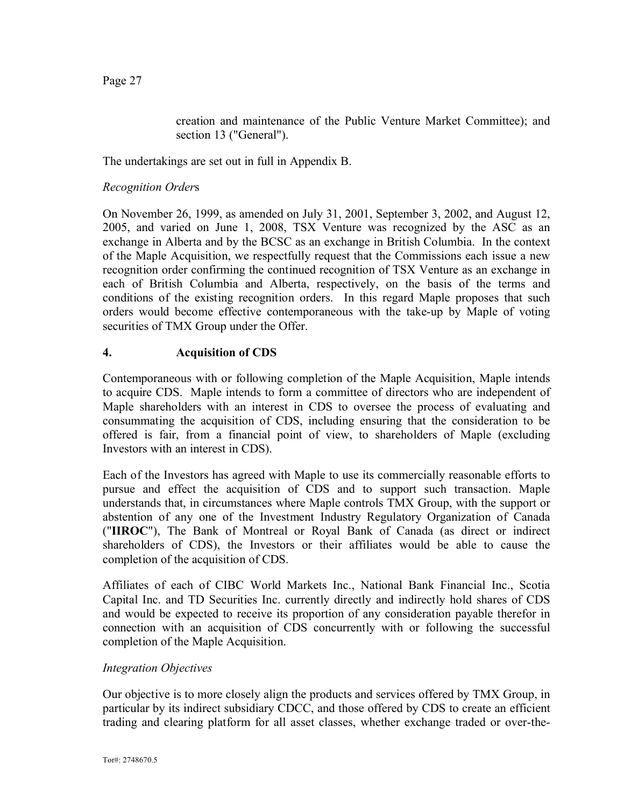creation and maintenance of the Public Venture Market Committee); and section 13 ("General").

The undertakings are set out in full in Appendix B.

### *Recognition Order*s

On November 26, 1999, as amended on July 31, 2001, September 3, 2002, and August 12, 2005, and varied on June 1, 2008, TSX Venture was recognized by the ASC as an exchange in Alberta and by the BCSC as an exchange in British Columbia. In the context of the Maple Acquisition, we respectfully request that the Commissions each issue a new recognition order confirming the continued recognition of TSX Venture as an exchange in each of British Columbia and Alberta, respectively, on the basis of the terms and conditions of the existing recognition orders. In this regard Maple proposes that such orders would become effective contemporaneous with the take-up by Maple of voting securities of TMX Group under the Offer.

### **4. Acquisition of CDS**

Contemporaneous with or following completion of the Maple Acquisition, Maple intends to acquire CDS. Maple intends to form a committee of directors who are independent of Maple shareholders with an interest in CDS to oversee the process of evaluating and consummating the acquisition of CDS, including ensuring that the consideration to be offered is fair, from a financial point of view, to shareholders of Maple (excluding Investors with an interest in CDS).

Each of the Investors has agreed with Maple to use its commercially reasonable efforts to pursue and effect the acquisition of CDS and to support such transaction. Maple understands that, in circumstances where Maple controls TMX Group, with the support or abstention of any one of the Investment Industry Regulatory Organization of Canada ("**IIROC**"), The Bank of Montreal or Royal Bank of Canada (as direct or indirect shareholders of CDS), the Investors or their affiliates would be able to cause the completion of the acquisition of CDS.

Affiliates of each of CIBC World Markets Inc., National Bank Financial Inc., Scotia Capital Inc. and TD Securities Inc. currently directly and indirectly hold shares of CDS and would be expected to receive its proportion of any consideration payable therefor in connection with an acquisition of CDS concurrently with or following the successful completion of the Maple Acquisition.

### *Integration Objectives*

Our objective is to more closely align the products and services offered by TMX Group, in particular by its indirect subsidiary CDCC, and those offered by CDS to create an efficient trading and clearing platform for all asset classes, whether exchange traded or over-the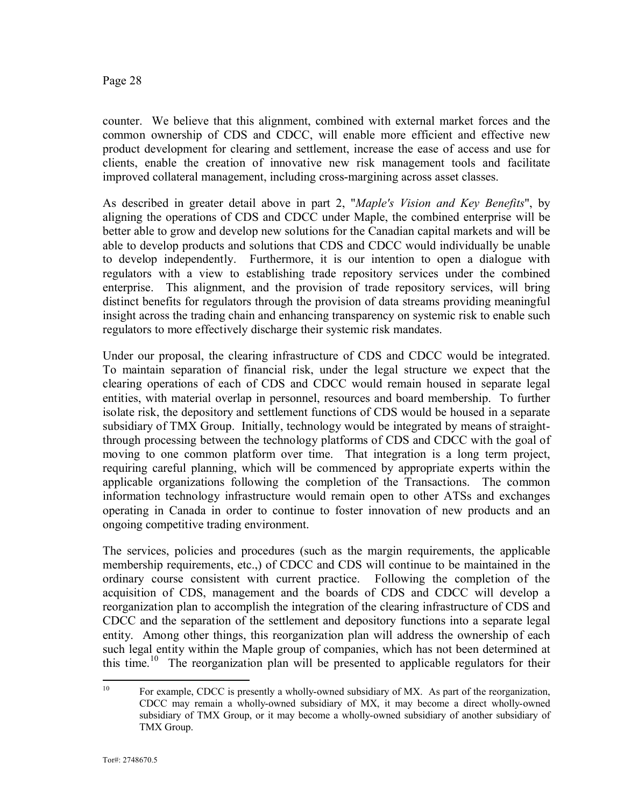counter. We believe that this alignment, combined with external market forces and the common ownership of CDS and CDCC, will enable more efficient and effective new product development for clearing and settlement, increase the ease of access and use for clients, enable the creation of innovative new risk management tools and facilitate improved collateral management, including cross-margining across asset classes.

As described in greater detail above in part 2, "*Maple's Vision and Key Benefits*", by aligning the operations of CDS and CDCC under Maple, the combined enterprise will be better able to grow and develop new solutions for the Canadian capital markets and will be able to develop products and solutions that CDS and CDCC would individually be unable to develop independently. Furthermore, it is our intention to open a dialogue with regulators with a view to establishing trade repository services under the combined enterprise. This alignment, and the provision of trade repository services, will bring distinct benefits for regulators through the provision of data streams providing meaningful insight across the trading chain and enhancing transparency on systemic risk to enable such regulators to more effectively discharge their systemic risk mandates.

Under our proposal, the clearing infrastructure of CDS and CDCC would be integrated. To maintain separation of financial risk, under the legal structure we expect that the clearing operations of each of CDS and CDCC would remain housed in separate legal entities, with material overlap in personnel, resources and board membership. To further isolate risk, the depository and settlement functions of CDS would be housed in a separate subsidiary of TMX Group. Initially, technology would be integrated by means of straightthrough processing between the technology platforms of CDS and CDCC with the goal of moving to one common platform over time. That integration is a long term project, requiring careful planning, which will be commenced by appropriate experts within the applicable organizations following the completion of the Transactions. The common information technology infrastructure would remain open to other ATSs and exchanges operating in Canada in order to continue to foster innovation of new products and an ongoing competitive trading environment.

The services, policies and procedures (such as the margin requirements, the applicable membership requirements, etc.,) of CDCC and CDS will continue to be maintained in the ordinary course consistent with current practice. Following the completion of the acquisition of CDS, management and the boards of CDS and CDCC will develop a reorganization plan to accomplish the integration of the clearing infrastructure of CDS and CDCC and the separation of the settlement and depository functions into a separate legal entity. Among other things, this reorganization plan will address the ownership of each such legal entity within the Maple group of companies, which has not been determined at this time.<sup>10</sup> The reorganization plan will be presented to applicable regulators for their

<sup>&</sup>lt;sup>10</sup> For example, CDCC is presently a wholly-owned subsidiary of MX. As part of the reorganization, CDCC may remain a wholly-owned subsidiary of MX, it may become a direct wholly-owned subsidiary of TMX Group, or it may become a wholly-owned subsidiary of another subsidiary of TMX Group.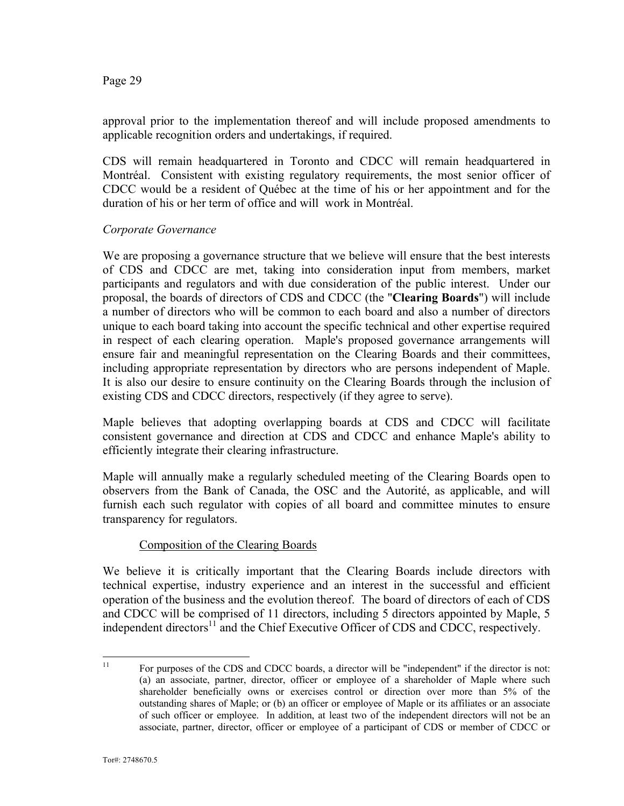approval prior to the implementation thereof and will include proposed amendments to applicable recognition orders and undertakings, if required.

CDS will remain headquartered in Toronto and CDCC will remain headquartered in Montréal. Consistent with existing regulatory requirements, the most senior officer of CDCC would be a resident of Québec at the time of his or her appointment and for the duration of his or her term of office and will work in Montréal.

### *Corporate Governance*

We are proposing a governance structure that we believe will ensure that the best interests of CDS and CDCC are met, taking into consideration input from members, market participants and regulators and with due consideration of the public interest. Under our proposal, the boards of directors of CDS and CDCC (the "**Clearing Boards**") will include a number of directors who will be common to each board and also a number of directors unique to each board taking into account the specific technical and other expertise required in respect of each clearing operation. Maple's proposed governance arrangements will ensure fair and meaningful representation on the Clearing Boards and their committees, including appropriate representation by directors who are persons independent of Maple. It is also our desire to ensure continuity on the Clearing Boards through the inclusion of existing CDS and CDCC directors, respectively (if they agree to serve).

Maple believes that adopting overlapping boards at CDS and CDCC will facilitate consistent governance and direction at CDS and CDCC and enhance Maple's ability to efficiently integrate their clearing infrastructure.

Maple will annually make a regularly scheduled meeting of the Clearing Boards open to observers from the Bank of Canada, the OSC and the Autorité, as applicable, and will furnish each such regulator with copies of all board and committee minutes to ensure transparency for regulators.

### Composition of the Clearing Boards

We believe it is critically important that the Clearing Boards include directors with technical expertise, industry experience and an interest in the successful and efficient operation of the business and the evolution thereof. The board of directors of each of CDS and CDCC will be comprised of 11 directors, including 5 directors appointed by Maple, 5 independent directors $11$  and the Chief Executive Officer of CDS and CDCC, respectively.

<sup>&</sup>lt;sup>11</sup> For purposes of the CDS and CDCC boards, a director will be "independent" if the director is not: (a) an associate, partner, director, officer or employee of a shareholder of Maple where such shareholder beneficially owns or exercises control or direction over more than 5% of the outstanding shares of Maple; or (b) an officer or employee of Maple or its affiliates or an associate of such officer or employee. In addition, at least two of the independent directors will not be an associate, partner, director, officer or employee of a participant of CDS or member of CDCC or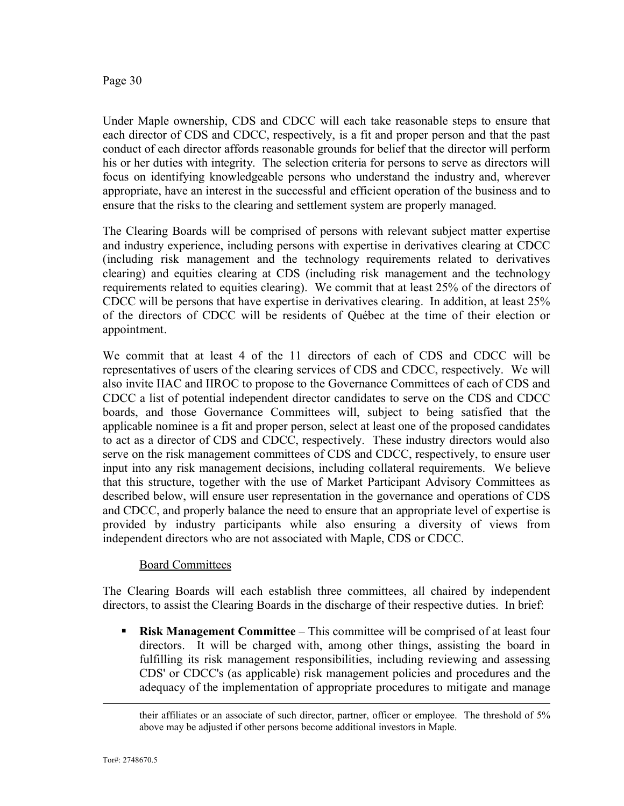Under Maple ownership, CDS and CDCC will each take reasonable steps to ensure that each director of CDS and CDCC, respectively, is a fit and proper person and that the past conduct of each director affords reasonable grounds for belief that the director will perform his or her duties with integrity. The selection criteria for persons to serve as directors will focus on identifying knowledgeable persons who understand the industry and, wherever appropriate, have an interest in the successful and efficient operation of the business and to ensure that the risks to the clearing and settlement system are properly managed.

The Clearing Boards will be comprised of persons with relevant subject matter expertise and industry experience, including persons with expertise in derivatives clearing at CDCC (including risk management and the technology requirements related to derivatives clearing) and equities clearing at CDS (including risk management and the technology requirements related to equities clearing). We commit that at least 25% of the directors of CDCC will be persons that have expertise in derivatives clearing. In addition, at least 25% of the directors of CDCC will be residents of Québec at the time of their election or appointment.

We commit that at least 4 of the 11 directors of each of CDS and CDCC will be representatives of users of the clearing services of CDS and CDCC, respectively. We will also invite IIAC and IIROC to propose to the Governance Committees of each of CDS and CDCC a list of potential independent director candidates to serve on the CDS and CDCC boards, and those Governance Committees will, subject to being satisfied that the applicable nominee is a fit and proper person, select at least one of the proposed candidates to act as a director of CDS and CDCC, respectively. These industry directors would also serve on the risk management committees of CDS and CDCC, respectively, to ensure user input into any risk management decisions, including collateral requirements. We believe that this structure, together with the use of Market Participant Advisory Committees as described below, will ensure user representation in the governance and operations of CDS and CDCC, and properly balance the need to ensure that an appropriate level of expertise is provided by industry participants while also ensuring a diversity of views from independent directors who are not associated with Maple, CDS or CDCC.

### Board Committees

The Clearing Boards will each establish three committees, all chaired by independent directors, to assist the Clearing Boards in the discharge of their respective duties. In brief:

**• Risk Management Committee** – This committee will be comprised of at least four directors. It will be charged with, among other things, assisting the board in fulfilling its risk management responsibilities, including reviewing and assessing CDS' or CDCC's (as applicable) risk management policies and procedures and the adequacy of the implementation of appropriate procedures to mitigate and manage

their affiliates or an associate of such director, partner, officer or employee. The threshold of 5% above may be adjusted if other persons become additional investors in Maple.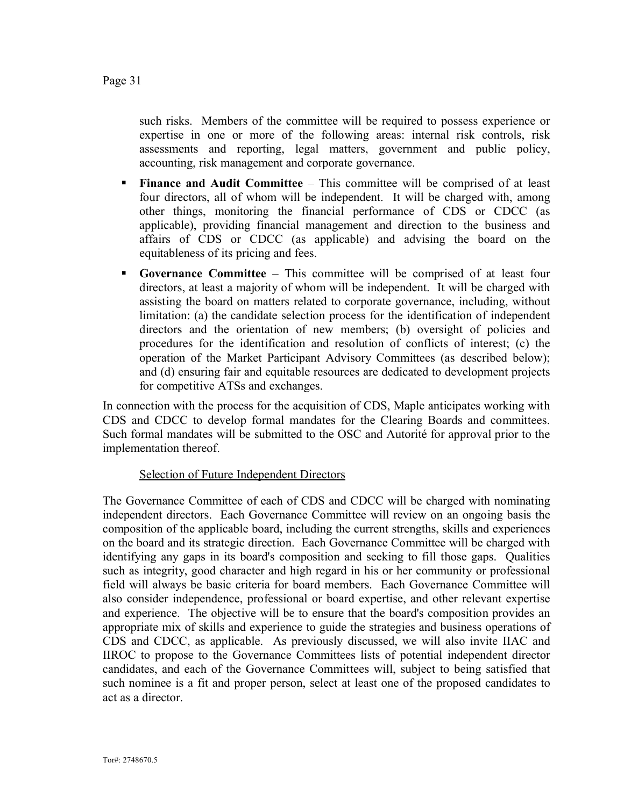such risks. Members of the committee will be required to possess experience or expertise in one or more of the following areas: internal risk controls, risk assessments and reporting, legal matters, government and public policy, accounting, risk management and corporate governance.

- **Finance and Audit Committee This committee will be comprised of at least** four directors, all of whom will be independent. It will be charged with, among other things, monitoring the financial performance of CDS or CDCC (as applicable), providing financial management and direction to the business and affairs of CDS or CDCC (as applicable) and advising the board on the equitableness of its pricing and fees.
- § **Governance Committee** This committee will be comprised of at least four directors, at least a majority of whom will be independent. It will be charged with assisting the board on matters related to corporate governance, including, without limitation: (a) the candidate selection process for the identification of independent directors and the orientation of new members; (b) oversight of policies and procedures for the identification and resolution of conflicts of interest; (c) the operation of the Market Participant Advisory Committees (as described below); and (d) ensuring fair and equitable resources are dedicated to development projects for competitive ATSs and exchanges.

In connection with the process for the acquisition of CDS, Maple anticipates working with CDS and CDCC to develop formal mandates for the Clearing Boards and committees. Such formal mandates will be submitted to the OSC and Autorité for approval prior to the implementation thereof.

### Selection of Future Independent Directors

The Governance Committee of each of CDS and CDCC will be charged with nominating independent directors. Each Governance Committee will review on an ongoing basis the composition of the applicable board, including the current strengths, skills and experiences on the board and its strategic direction. Each Governance Committee will be charged with identifying any gaps in its board's composition and seeking to fill those gaps. Qualities such as integrity, good character and high regard in his or her community or professional field will always be basic criteria for board members. Each Governance Committee will also consider independence, professional or board expertise, and other relevant expertise and experience. The objective will be to ensure that the board's composition provides an appropriate mix of skills and experience to guide the strategies and business operations of CDS and CDCC, as applicable. As previously discussed, we will also invite IIAC and IIROC to propose to the Governance Committees lists of potential independent director candidates, and each of the Governance Committees will, subject to being satisfied that such nominee is a fit and proper person, select at least one of the proposed candidates to act as a director.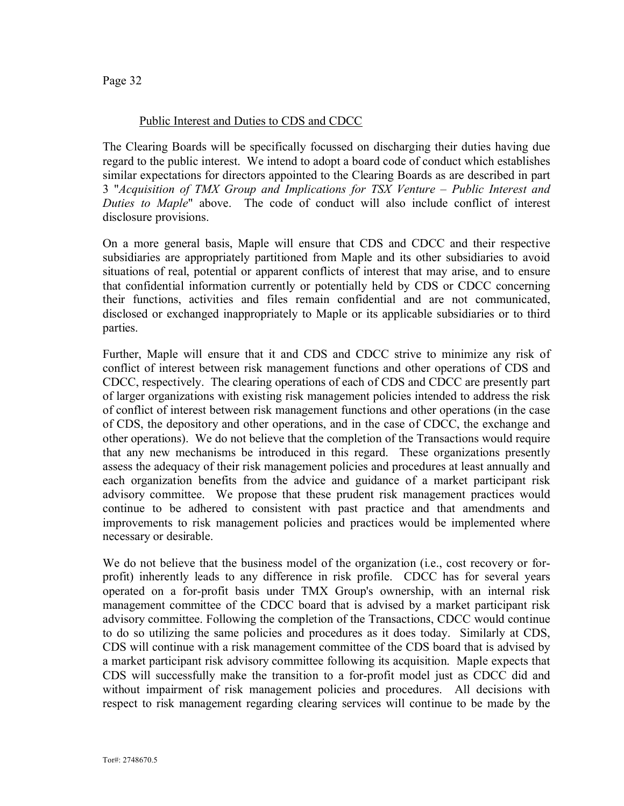### Public Interest and Duties to CDS and CDCC

The Clearing Boards will be specifically focussed on discharging their duties having due regard to the public interest. We intend to adopt a board code of conduct which establishes similar expectations for directors appointed to the Clearing Boards as are described in part 3 "*Acquisition of TMX Group and Implications for TSX Venture – Public Interest and Duties to Maple*" above. The code of conduct will also include conflict of interest disclosure provisions.

On a more general basis, Maple will ensure that CDS and CDCC and their respective subsidiaries are appropriately partitioned from Maple and its other subsidiaries to avoid situations of real, potential or apparent conflicts of interest that may arise, and to ensure that confidential information currently or potentially held by CDS or CDCC concerning their functions, activities and files remain confidential and are not communicated, disclosed or exchanged inappropriately to Maple or its applicable subsidiaries or to third parties.

Further, Maple will ensure that it and CDS and CDCC strive to minimize any risk of conflict of interest between risk management functions and other operations of CDS and CDCC, respectively. The clearing operations of each of CDS and CDCC are presently part of larger organizations with existing risk management policies intended to address the risk of conflict of interest between risk management functions and other operations (in the case of CDS, the depository and other operations, and in the case of CDCC, the exchange and other operations). We do not believe that the completion of the Transactions would require that any new mechanisms be introduced in this regard. These organizations presently assess the adequacy of their risk management policies and procedures at least annually and each organization benefits from the advice and guidance of a market participant risk advisory committee. We propose that these prudent risk management practices would continue to be adhered to consistent with past practice and that amendments and improvements to risk management policies and practices would be implemented where necessary or desirable.

We do not believe that the business model of the organization (i.e., cost recovery or forprofit) inherently leads to any difference in risk profile. CDCC has for several years operated on a for-profit basis under TMX Group's ownership, with an internal risk management committee of the CDCC board that is advised by a market participant risk advisory committee. Following the completion of the Transactions, CDCC would continue to do so utilizing the same policies and procedures as it does today. Similarly at CDS, CDS will continue with a risk management committee of the CDS board that is advised by a market participant risk advisory committee following its acquisition. Maple expects that CDS will successfully make the transition to a for-profit model just as CDCC did and without impairment of risk management policies and procedures. All decisions with respect to risk management regarding clearing services will continue to be made by the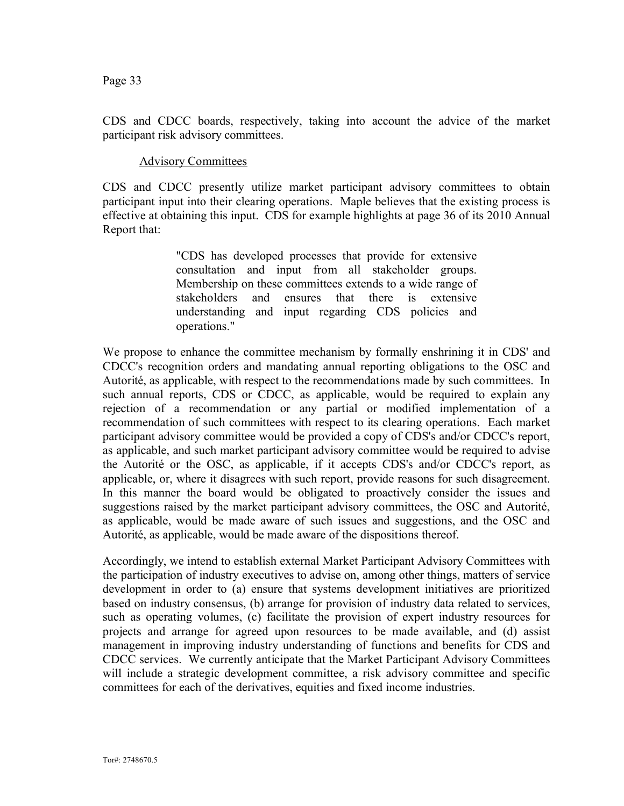CDS and CDCC boards, respectively, taking into account the advice of the market participant risk advisory committees.

#### Advisory Committees

CDS and CDCC presently utilize market participant advisory committees to obtain participant input into their clearing operations. Maple believes that the existing process is effective at obtaining this input. CDS for example highlights at page 36 of its 2010 Annual Report that:

> "CDS has developed processes that provide for extensive consultation and input from all stakeholder groups. Membership on these committees extends to a wide range of stakeholders and ensures that there is extensive understanding and input regarding CDS policies and operations."

We propose to enhance the committee mechanism by formally enshrining it in CDS' and CDCC's recognition orders and mandating annual reporting obligations to the OSC and Autorité, as applicable, with respect to the recommendations made by such committees. In such annual reports, CDS or CDCC, as applicable, would be required to explain any rejection of a recommendation or any partial or modified implementation of a recommendation of such committees with respect to its clearing operations. Each market participant advisory committee would be provided a copy of CDS's and/or CDCC's report, as applicable, and such market participant advisory committee would be required to advise the Autorité or the OSC, as applicable, if it accepts CDS's and/or CDCC's report, as applicable, or, where it disagrees with such report, provide reasons for such disagreement. In this manner the board would be obligated to proactively consider the issues and suggestions raised by the market participant advisory committees, the OSC and Autorité, as applicable, would be made aware of such issues and suggestions, and the OSC and Autorité, as applicable, would be made aware of the dispositions thereof.

Accordingly, we intend to establish external Market Participant Advisory Committees with the participation of industry executives to advise on, among other things, matters of service development in order to (a) ensure that systems development initiatives are prioritized based on industry consensus, (b) arrange for provision of industry data related to services, such as operating volumes, (c) facilitate the provision of expert industry resources for projects and arrange for agreed upon resources to be made available, and (d) assist management in improving industry understanding of functions and benefits for CDS and CDCC services. We currently anticipate that the Market Participant Advisory Committees will include a strategic development committee, a risk advisory committee and specific committees for each of the derivatives, equities and fixed income industries.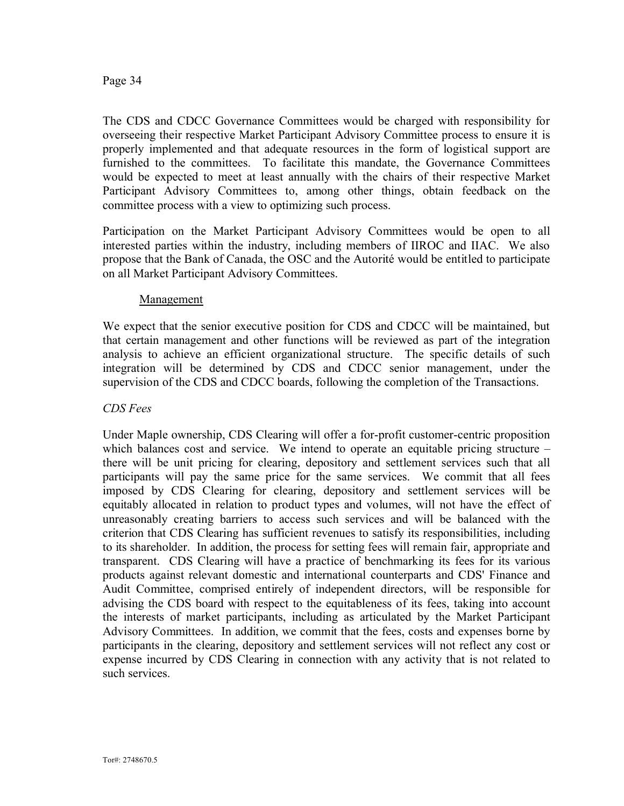The CDS and CDCC Governance Committees would be charged with responsibility for overseeing their respective Market Participant Advisory Committee process to ensure it is properly implemented and that adequate resources in the form of logistical support are furnished to the committees. To facilitate this mandate, the Governance Committees would be expected to meet at least annually with the chairs of their respective Market Participant Advisory Committees to, among other things, obtain feedback on the committee process with a view to optimizing such process.

Participation on the Market Participant Advisory Committees would be open to all interested parties within the industry, including members of IIROC and IIAC. We also propose that the Bank of Canada, the OSC and the Autorité would be entitled to participate on all Market Participant Advisory Committees.

#### Management

We expect that the senior executive position for CDS and CDCC will be maintained, but that certain management and other functions will be reviewed as part of the integration analysis to achieve an efficient organizational structure. The specific details of such integration will be determined by CDS and CDCC senior management, under the supervision of the CDS and CDCC boards, following the completion of the Transactions.

### *CDS Fees*

Under Maple ownership, CDS Clearing will offer a for-profit customer-centric proposition which balances cost and service. We intend to operate an equitable pricing structure – there will be unit pricing for clearing, depository and settlement services such that all participants will pay the same price for the same services. We commit that all fees imposed by CDS Clearing for clearing, depository and settlement services will be equitably allocated in relation to product types and volumes, will not have the effect of unreasonably creating barriers to access such services and will be balanced with the criterion that CDS Clearing has sufficient revenues to satisfy its responsibilities, including to its shareholder. In addition, the process for setting fees will remain fair, appropriate and transparent. CDS Clearing will have a practice of benchmarking its fees for its various products against relevant domestic and international counterparts and CDS' Finance and Audit Committee, comprised entirely of independent directors, will be responsible for advising the CDS board with respect to the equitableness of its fees, taking into account the interests of market participants, including as articulated by the Market Participant Advisory Committees. In addition, we commit that the fees, costs and expenses borne by participants in the clearing, depository and settlement services will not reflect any cost or expense incurred by CDS Clearing in connection with any activity that is not related to such services.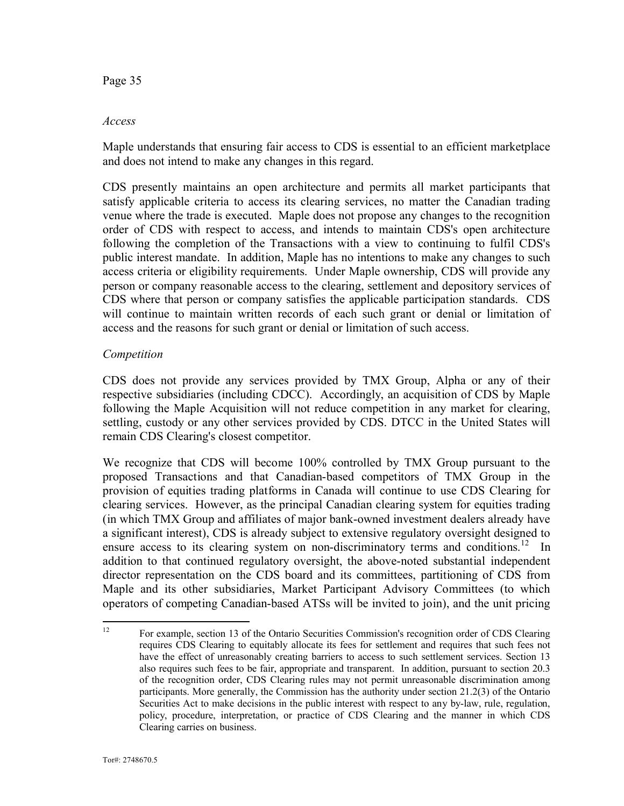#### *Access*

Maple understands that ensuring fair access to CDS is essential to an efficient marketplace and does not intend to make any changes in this regard.

CDS presently maintains an open architecture and permits all market participants that satisfy applicable criteria to access its clearing services, no matter the Canadian trading venue where the trade is executed. Maple does not propose any changes to the recognition order of CDS with respect to access, and intends to maintain CDS's open architecture following the completion of the Transactions with a view to continuing to fulfil CDS's public interest mandate. In addition, Maple has no intentions to make any changes to such access criteria or eligibility requirements. Under Maple ownership, CDS will provide any person or company reasonable access to the clearing, settlement and depository services of CDS where that person or company satisfies the applicable participation standards. CDS will continue to maintain written records of each such grant or denial or limitation of access and the reasons for such grant or denial or limitation of such access.

### *Competition*

CDS does not provide any services provided by TMX Group, Alpha or any of their respective subsidiaries (including CDCC). Accordingly, an acquisition of CDS by Maple following the Maple Acquisition will not reduce competition in any market for clearing, settling, custody or any other services provided by CDS. DTCC in the United States will remain CDS Clearing's closest competitor.

We recognize that CDS will become 100% controlled by TMX Group pursuant to the proposed Transactions and that Canadian-based competitors of TMX Group in the provision of equities trading platforms in Canada will continue to use CDS Clearing for clearing services. However, as the principal Canadian clearing system for equities trading (in which TMX Group and affiliates of major bank-owned investment dealers already have a significant interest), CDS is already subject to extensive regulatory oversight designed to ensure access to its clearing system on non-discriminatory terms and conditions.<sup>12</sup> In addition to that continued regulatory oversight, the above-noted substantial independent director representation on the CDS board and its committees, partitioning of CDS from Maple and its other subsidiaries, Market Participant Advisory Committees (to which operators of competing Canadian-based ATSs will be invited to join), and the unit pricing

<sup>&</sup>lt;sup>12</sup> For example, section 13 of the Ontario Securities Commission's recognition order of CDS Clearing requires CDS Clearing to equitably allocate its fees for settlement and requires that such fees not have the effect of unreasonably creating barriers to access to such settlement services. Section 13 also requires such fees to be fair, appropriate and transparent. In addition, pursuant to section 20.3 of the recognition order, CDS Clearing rules may not permit unreasonable discrimination among participants. More generally, the Commission has the authority under section 21.2(3) of the Ontario Securities Act to make decisions in the public interest with respect to any by-law, rule, regulation, policy, procedure, interpretation, or practice of CDS Clearing and the manner in which CDS Clearing carries on business.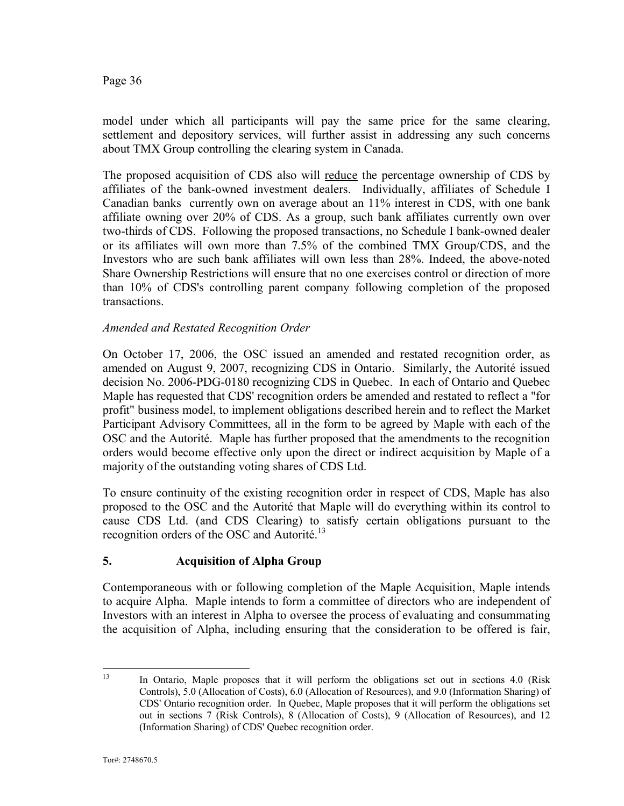model under which all participants will pay the same price for the same clearing, settlement and depository services, will further assist in addressing any such concerns about TMX Group controlling the clearing system in Canada.

The proposed acquisition of CDS also will reduce the percentage ownership of CDS by affiliates of the bank-owned investment dealers. Individually, affiliates of Schedule I Canadian banks currently own on average about an 11% interest in CDS, with one bank affiliate owning over 20% of CDS. As a group, such bank affiliates currently own over two-thirds of CDS. Following the proposed transactions, no Schedule I bank-owned dealer or its affiliates will own more than 7.5% of the combined TMX Group/CDS, and the Investors who are such bank affiliates will own less than 28%. Indeed, the above-noted Share Ownership Restrictions will ensure that no one exercises control or direction of more than 10% of CDS's controlling parent company following completion of the proposed transactions.

### *Amended and Restated Recognition Order*

On October 17, 2006, the OSC issued an amended and restated recognition order, as amended on August 9, 2007, recognizing CDS in Ontario. Similarly, the Autorité issued decision No. 2006-PDG-0180 recognizing CDS in Quebec. In each of Ontario and Quebec Maple has requested that CDS' recognition orders be amended and restated to reflect a "for profit" business model, to implement obligations described herein and to reflect the Market Participant Advisory Committees, all in the form to be agreed by Maple with each of the OSC and the Autorité. Maple has further proposed that the amendments to the recognition orders would become effective only upon the direct or indirect acquisition by Maple of a majority of the outstanding voting shares of CDS Ltd.

To ensure continuity of the existing recognition order in respect of CDS, Maple has also proposed to the OSC and the Autorité that Maple will do everything within its control to cause CDS Ltd. (and CDS Clearing) to satisfy certain obligations pursuant to the recognition orders of the OSC and Autorité.<sup>13</sup>

### **5. Acquisition of Alpha Group**

Contemporaneous with or following completion of the Maple Acquisition, Maple intends to acquire Alpha. Maple intends to form a committee of directors who are independent of Investors with an interest in Alpha to oversee the process of evaluating and consummating the acquisition of Alpha, including ensuring that the consideration to be offered is fair,

<sup>&</sup>lt;sup>13</sup> In Ontario, Maple proposes that it will perform the obligations set out in sections 4.0 (Risk Controls), 5.0 (Allocation of Costs), 6.0 (Allocation of Resources), and 9.0 (Information Sharing) of CDS' Ontario recognition order. In Quebec, Maple proposes that it will perform the obligations set out in sections 7 (Risk Controls), 8 (Allocation of Costs), 9 (Allocation of Resources), and 12 (Information Sharing) of CDS' Quebec recognition order.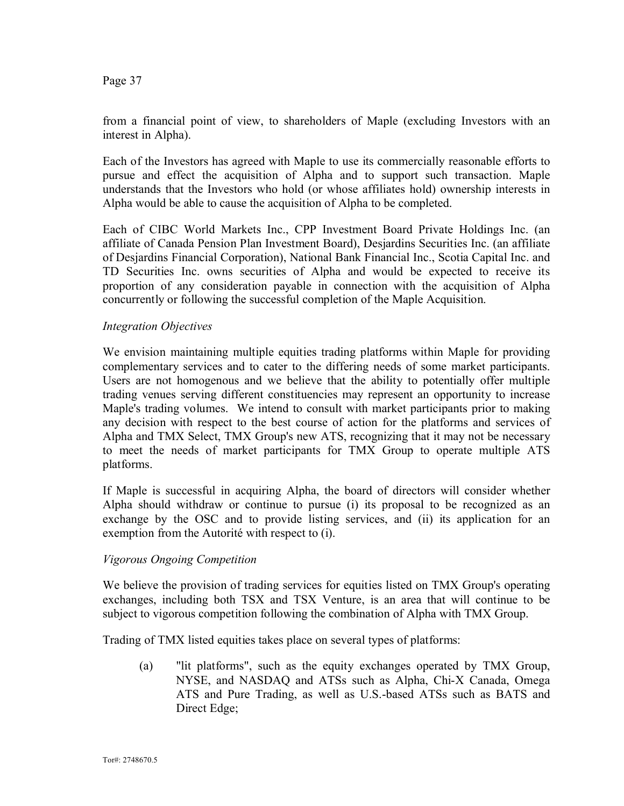from a financial point of view, to shareholders of Maple (excluding Investors with an interest in Alpha).

Each of the Investors has agreed with Maple to use its commercially reasonable efforts to pursue and effect the acquisition of Alpha and to support such transaction. Maple understands that the Investors who hold (or whose affiliates hold) ownership interests in Alpha would be able to cause the acquisition of Alpha to be completed.

Each of CIBC World Markets Inc., CPP Investment Board Private Holdings Inc. (an affiliate of Canada Pension Plan Investment Board), Desjardins Securities Inc. (an affiliate of Desjardins Financial Corporation), National Bank Financial Inc., Scotia Capital Inc. and TD Securities Inc. owns securities of Alpha and would be expected to receive its proportion of any consideration payable in connection with the acquisition of Alpha concurrently or following the successful completion of the Maple Acquisition.

### *Integration Objectives*

We envision maintaining multiple equities trading platforms within Maple for providing complementary services and to cater to the differing needs of some market participants. Users are not homogenous and we believe that the ability to potentially offer multiple trading venues serving different constituencies may represent an opportunity to increase Maple's trading volumes. We intend to consult with market participants prior to making any decision with respect to the best course of action for the platforms and services of Alpha and TMX Select, TMX Group's new ATS, recognizing that it may not be necessary to meet the needs of market participants for TMX Group to operate multiple ATS platforms.

If Maple is successful in acquiring Alpha, the board of directors will consider whether Alpha should withdraw or continue to pursue (i) its proposal to be recognized as an exchange by the OSC and to provide listing services, and (ii) its application for an exemption from the Autorité with respect to (i).

### *Vigorous Ongoing Competition*

We believe the provision of trading services for equities listed on TMX Group's operating exchanges, including both TSX and TSX Venture, is an area that will continue to be subject to vigorous competition following the combination of Alpha with TMX Group.

Trading of TMX listed equities takes place on several types of platforms:

(a) "lit platforms", such as the equity exchanges operated by TMX Group, NYSE, and NASDAQ and ATSs such as Alpha, Chi-X Canada, Omega ATS and Pure Trading, as well as U.S.-based ATSs such as BATS and Direct Edge;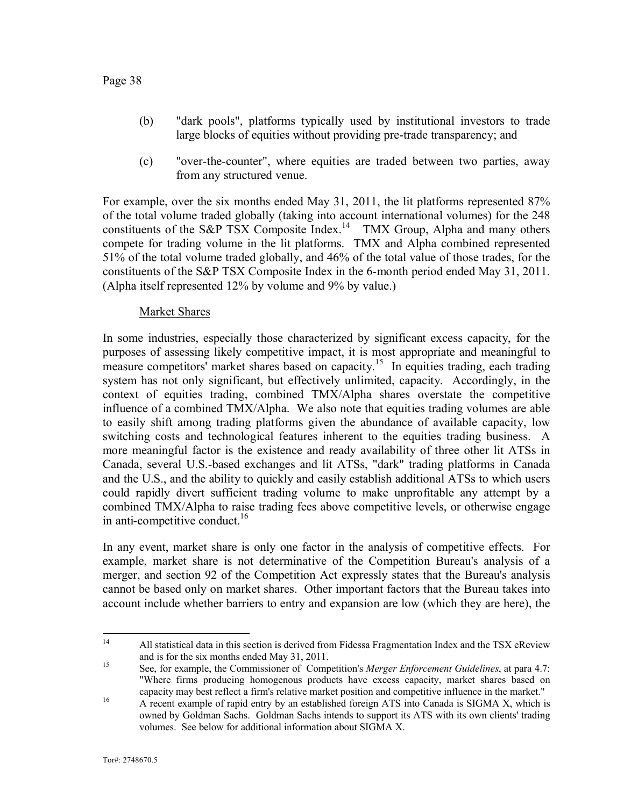- (b) "dark pools", platforms typically used by institutional investors to trade large blocks of equities without providing pre-trade transparency; and
- (c) "over-the-counter", where equities are traded between two parties, away from any structured venue.

For example, over the six months ended May 31, 2011, the lit platforms represented 87% of the total volume traded globally (taking into account international volumes) for the 248 constituents of the S&P TSX Composite Index.<sup>14</sup> TMX Group, Alpha and many others compete for trading volume in the lit platforms. TMX and Alpha combined represented 51% of the total volume traded globally, and 46% of the total value of those trades, for the constituents of the S&P TSX Composite Index in the 6-month period ended May 31, 2011. (Alpha itself represented 12% by volume and 9% by value.)

### Market Shares

In some industries, especially those characterized by significant excess capacity, for the purposes of assessing likely competitive impact, it is most appropriate and meaningful to measure competitors' market shares based on capacity.<sup>15</sup> In equities trading, each trading system has not only significant, but effectively unlimited, capacity. Accordingly, in the context of equities trading, combined TMX/Alpha shares overstate the competitive influence of a combined TMX/Alpha. We also note that equities trading volumes are able to easily shift among trading platforms given the abundance of available capacity, low switching costs and technological features inherent to the equities trading business. A more meaningful factor is the existence and ready availability of three other lit ATSs in Canada, several U.S.-based exchanges and lit ATSs, "dark" trading platforms in Canada and the U.S., and the ability to quickly and easily establish additional ATSs to which users could rapidly divert sufficient trading volume to make unprofitable any attempt by a combined TMX/Alpha to raise trading fees above competitive levels, or otherwise engage in anti-competitive conduct.<sup>16</sup>

In any event, market share is only one factor in the analysis of competitive effects. For example, market share is not determinative of the Competition Bureau's analysis of a merger, and section 92 of the Competition Act expressly states that the Bureau's analysis cannot be based only on market shares. Other important factors that the Bureau takes into account include whether barriers to entry and expansion are low (which they are here), the

<sup>&</sup>lt;sup>14</sup> All statistical data in this section is derived from Fidessa Fragmentation Index and the TSX eReview and is for the six months ended May 31, 2011.

<sup>15</sup> See, for example, the Commissioner of Competition's *Merger Enforcement Guidelines*, at para 4.7: "Where firms producing homogenous products have excess capacity, market shares based on capacity may best reflect a firm's relative market position and competitive influence in the market."

<sup>&</sup>lt;sup>16</sup> A recent example of rapid entry by an established foreign ATS into Canada is SIGMA X, which is owned by Goldman Sachs. Goldman Sachs intends to support its ATS with its own clients' trading volumes. See below for additional information about SIGMA X.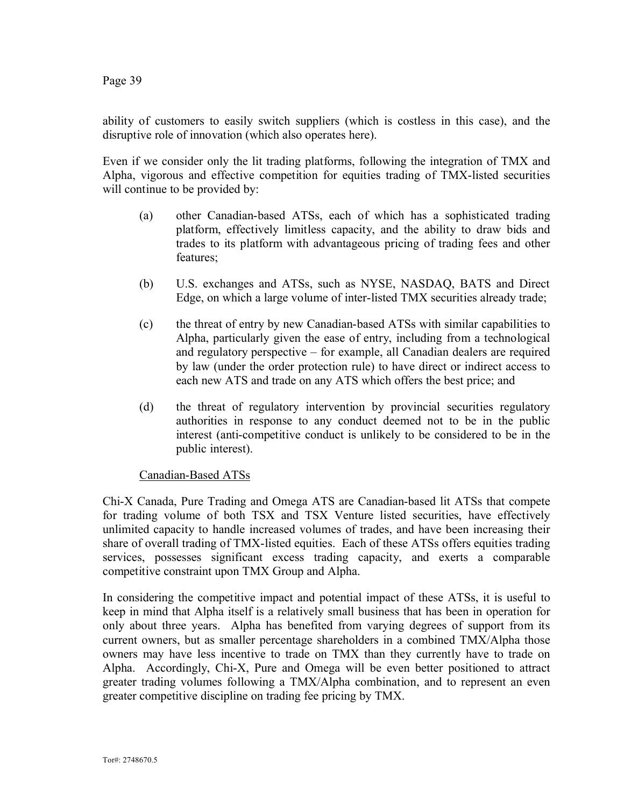ability of customers to easily switch suppliers (which is costless in this case), and the disruptive role of innovation (which also operates here).

Even if we consider only the lit trading platforms, following the integration of TMX and Alpha, vigorous and effective competition for equities trading of TMX-listed securities will continue to be provided by:

- (a) other Canadian-based ATSs, each of which has a sophisticated trading platform, effectively limitless capacity, and the ability to draw bids and trades to its platform with advantageous pricing of trading fees and other features;
- (b) U.S. exchanges and ATSs, such as NYSE, NASDAQ, BATS and Direct Edge, on which a large volume of inter-listed TMX securities already trade;
- (c) the threat of entry by new Canadian-based ATSs with similar capabilities to Alpha, particularly given the ease of entry, including from a technological and regulatory perspective – for example, all Canadian dealers are required by law (under the order protection rule) to have direct or indirect access to each new ATS and trade on any ATS which offers the best price; and
- (d) the threat of regulatory intervention by provincial securities regulatory authorities in response to any conduct deemed not to be in the public interest (anti-competitive conduct is unlikely to be considered to be in the public interest).

### Canadian-Based ATSs

Chi-X Canada, Pure Trading and Omega ATS are Canadian-based lit ATSs that compete for trading volume of both TSX and TSX Venture listed securities, have effectively unlimited capacity to handle increased volumes of trades, and have been increasing their share of overall trading of TMX-listed equities. Each of these ATSs offers equities trading services, possesses significant excess trading capacity, and exerts a comparable competitive constraint upon TMX Group and Alpha.

In considering the competitive impact and potential impact of these ATSs, it is useful to keep in mind that Alpha itself is a relatively small business that has been in operation for only about three years. Alpha has benefited from varying degrees of support from its current owners, but as smaller percentage shareholders in a combined TMX/Alpha those owners may have less incentive to trade on TMX than they currently have to trade on Alpha. Accordingly, Chi-X, Pure and Omega will be even better positioned to attract greater trading volumes following a TMX/Alpha combination, and to represent an even greater competitive discipline on trading fee pricing by TMX.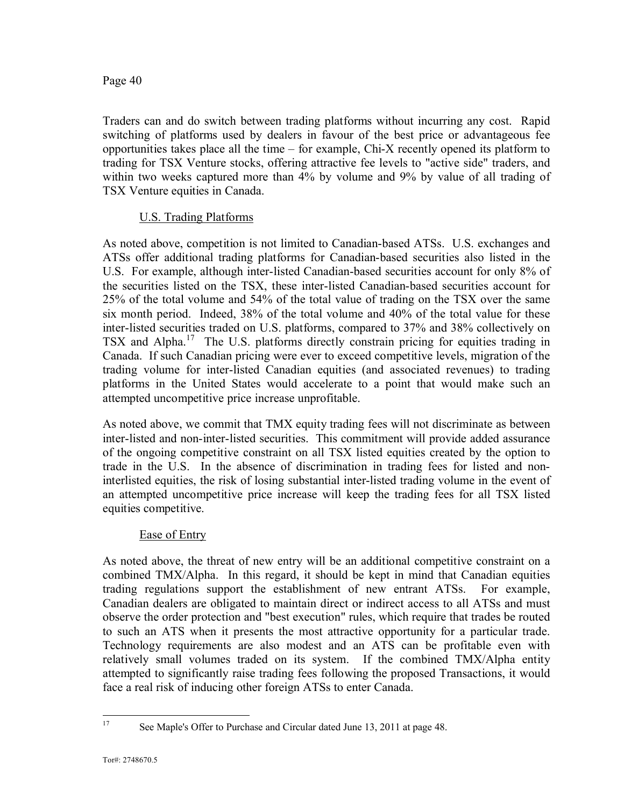Traders can and do switch between trading platforms without incurring any cost. Rapid switching of platforms used by dealers in favour of the best price or advantageous fee opportunities takes place all the time – for example, Chi-X recently opened its platform to trading for TSX Venture stocks, offering attractive fee levels to "active side" traders, and within two weeks captured more than 4% by volume and 9% by value of all trading of TSX Venture equities in Canada.

### U.S. Trading Platforms

As noted above, competition is not limited to Canadian-based ATSs. U.S. exchanges and ATSs offer additional trading platforms for Canadian-based securities also listed in the U.S. For example, although inter-listed Canadian-based securities account for only 8% of the securities listed on the TSX, these inter-listed Canadian-based securities account for 25% of the total volume and 54% of the total value of trading on the TSX over the same six month period. Indeed, 38% of the total volume and 40% of the total value for these inter-listed securities traded on U.S. platforms, compared to 37% and 38% collectively on TSX and Alpha.<sup>17</sup> The U.S. platforms directly constrain pricing for equities trading in Canada. If such Canadian pricing were ever to exceed competitive levels, migration of the trading volume for inter-listed Canadian equities (and associated revenues) to trading platforms in the United States would accelerate to a point that would make such an attempted uncompetitive price increase unprofitable.

As noted above, we commit that TMX equity trading fees will not discriminate as between inter-listed and non-inter-listed securities. This commitment will provide added assurance of the ongoing competitive constraint on all TSX listed equities created by the option to trade in the U.S. In the absence of discrimination in trading fees for listed and noninterlisted equities, the risk of losing substantial inter-listed trading volume in the event of an attempted uncompetitive price increase will keep the trading fees for all TSX listed equities competitive.

### Ease of Entry

As noted above, the threat of new entry will be an additional competitive constraint on a combined TMX/Alpha. In this regard, it should be kept in mind that Canadian equities trading regulations support the establishment of new entrant ATSs. For example, Canadian dealers are obligated to maintain direct or indirect access to all ATSs and must observe the order protection and "best execution" rules, which require that trades be routed to such an ATS when it presents the most attractive opportunity for a particular trade. Technology requirements are also modest and an ATS can be profitable even with relatively small volumes traded on its system. If the combined TMX/Alpha entity attempted to significantly raise trading fees following the proposed Transactions, it would face a real risk of inducing other foreign ATSs to enter Canada.

<sup>17</sup> See Maple's Offer to Purchase and Circular dated June 13, 2011 at page 48.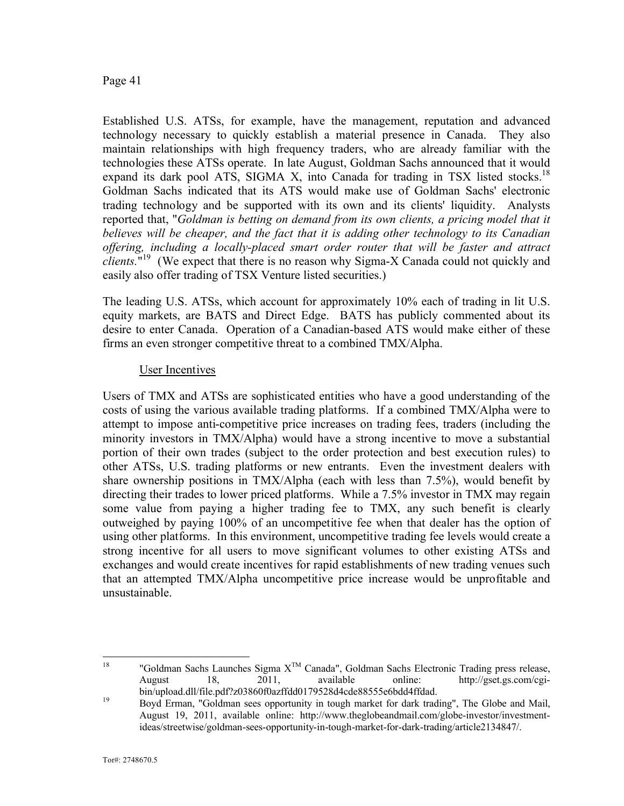Established U.S. ATSs, for example, have the management, reputation and advanced technology necessary to quickly establish a material presence in Canada. They also maintain relationships with high frequency traders, who are already familiar with the technologies these ATSs operate. In late August, Goldman Sachs announced that it would expand its dark pool ATS, SIGMA X, into Canada for trading in TSX listed stocks.<sup>18</sup> Goldman Sachs indicated that its ATS would make use of Goldman Sachs' electronic trading technology and be supported with its own and its clients' liquidity. Analysts reported that, "*Goldman is betting on demand from its own clients, a pricing model that it believes will be cheaper, and the fact that it is adding other technology to its Canadian offering, including a locally-placed smart order router that will be faster and attract clients.*" <sup>19</sup> (We expect that there is no reason why Sigma-X Canada could not quickly and easily also offer trading of TSX Venture listed securities.)

The leading U.S. ATSs, which account for approximately 10% each of trading in lit U.S. equity markets, are BATS and Direct Edge. BATS has publicly commented about its desire to enter Canada. Operation of a Canadian-based ATS would make either of these firms an even stronger competitive threat to a combined TMX/Alpha.

#### User Incentives

Users of TMX and ATSs are sophisticated entities who have a good understanding of the costs of using the various available trading platforms. If a combined TMX/Alpha were to attempt to impose anti-competitive price increases on trading fees, traders (including the minority investors in TMX/Alpha) would have a strong incentive to move a substantial portion of their own trades (subject to the order protection and best execution rules) to other ATSs, U.S. trading platforms or new entrants. Even the investment dealers with share ownership positions in TMX/Alpha (each with less than 7.5%), would benefit by directing their trades to lower priced platforms. While a 7.5% investor in TMX may regain some value from paying a higher trading fee to TMX, any such benefit is clearly outweighed by paying 100% of an uncompetitive fee when that dealer has the option of using other platforms. In this environment, uncompetitive trading fee levels would create a strong incentive for all users to move significant volumes to other existing ATSs and exchanges and would create incentives for rapid establishments of new trading venues such that an attempted TMX/Alpha uncompetitive price increase would be unprofitable and unsustainable.

<sup>&</sup>lt;sup>18</sup> "Goldman Sachs Launches Sigma  $X^{TM}$  Canada", Goldman Sachs Electronic Trading press release,<br>August 18. 2011. available online: http://gset.gs.com/cgi-August 18, 2011, available online: http://gset.gs.com/cgibin/upload.dll/file.pdf?z03860f0azffdd0179528d4cde88555e6bdd4ffdad.

<sup>&</sup>lt;sup>19</sup> Boyd Erman, "Goldman sees opportunity in tough market for dark trading", The Globe and Mail, August 19, 2011, available online: http://www.theglobeandmail.com/globe-investor/investmentideas/streetwise/goldman-sees-opportunity-in-tough-market-for-dark-trading/article2134847/.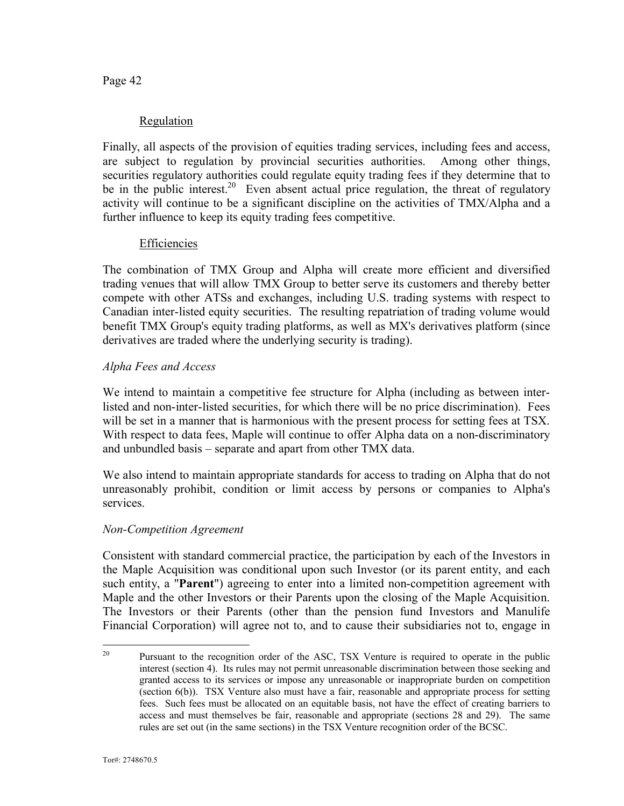### Regulation

Finally, all aspects of the provision of equities trading services, including fees and access, are subject to regulation by provincial securities authorities. Among other things, securities regulatory authorities could regulate equity trading fees if they determine that to be in the public interest.<sup>20</sup> Even absent actual price regulation, the threat of regulatory activity will continue to be a significant discipline on the activities of TMX/Alpha and a further influence to keep its equity trading fees competitive.

### **Efficiencies**

The combination of TMX Group and Alpha will create more efficient and diversified trading venues that will allow TMX Group to better serve its customers and thereby better compete with other ATSs and exchanges, including U.S. trading systems with respect to Canadian inter-listed equity securities. The resulting repatriation of trading volume would benefit TMX Group's equity trading platforms, as well as MX's derivatives platform (since derivatives are traded where the underlying security is trading).

### *Alpha Fees and Access*

We intend to maintain a competitive fee structure for Alpha (including as between interlisted and non-inter-listed securities, for which there will be no price discrimination). Fees will be set in a manner that is harmonious with the present process for setting fees at TSX. With respect to data fees, Maple will continue to offer Alpha data on a non-discriminatory and unbundled basis – separate and apart from other TMX data.

We also intend to maintain appropriate standards for access to trading on Alpha that do not unreasonably prohibit, condition or limit access by persons or companies to Alpha's services.

### *Non-Competition Agreement*

Consistent with standard commercial practice, the participation by each of the Investors in the Maple Acquisition was conditional upon such Investor (or its parent entity, and each such entity, a "**Parent**") agreeing to enter into a limited non-competition agreement with Maple and the other Investors or their Parents upon the closing of the Maple Acquisition. The Investors or their Parents (other than the pension fund Investors and Manulife Financial Corporation) will agree not to, and to cause their subsidiaries not to, engage in

<sup>&</sup>lt;sup>20</sup> Pursuant to the recognition order of the ASC, TSX Venture is required to operate in the public interest (section 4). Its rules may not permit unreasonable discrimination between those seeking and granted access to its services or impose any unreasonable or inappropriate burden on competition (section 6(b)). TSX Venture also must have a fair, reasonable and appropriate process for setting fees. Such fees must be allocated on an equitable basis, not have the effect of creating barriers to access and must themselves be fair, reasonable and appropriate (sections 28 and 29). The same rules are set out (in the same sections) in the TSX Venture recognition order of the BCSC.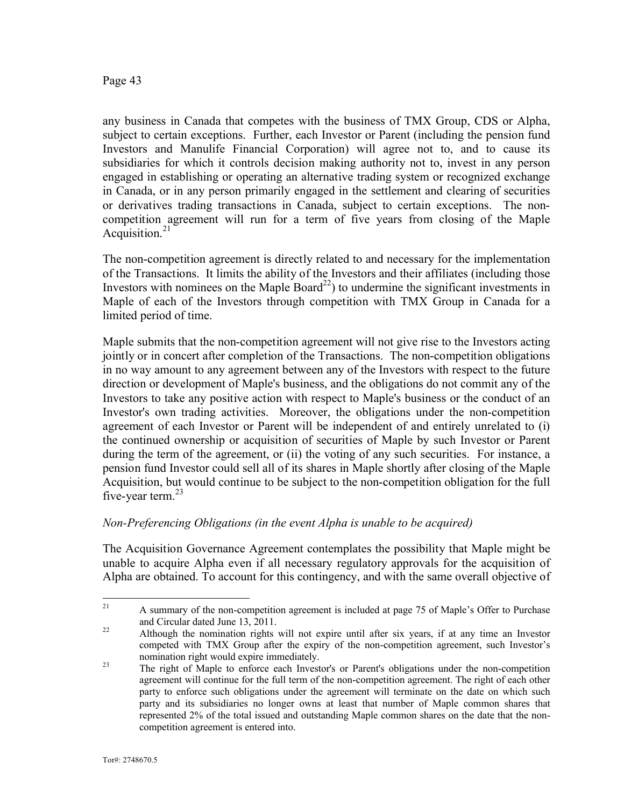any business in Canada that competes with the business of TMX Group, CDS or Alpha, subject to certain exceptions. Further, each Investor or Parent (including the pension fund Investors and Manulife Financial Corporation) will agree not to, and to cause its subsidiaries for which it controls decision making authority not to, invest in any person engaged in establishing or operating an alternative trading system or recognized exchange in Canada, or in any person primarily engaged in the settlement and clearing of securities or derivatives trading transactions in Canada, subject to certain exceptions. The noncompetition agreement will run for a term of five years from closing of the Maple Acquisition. 21

The non-competition agreement is directly related to and necessary for the implementation of the Transactions. It limits the ability of the Investors and their affiliates (including those Investors with nominees on the Maple Board<sup>22</sup>) to undermine the significant investments in Maple of each of the Investors through competition with TMX Group in Canada for a limited period of time.

Maple submits that the non-competition agreement will not give rise to the Investors acting jointly or in concert after completion of the Transactions. The non-competition obligations in no way amount to any agreement between any of the Investors with respect to the future direction or development of Maple's business, and the obligations do not commit any of the Investors to take any positive action with respect to Maple's business or the conduct of an Investor's own trading activities. Moreover, the obligations under the non-competition agreement of each Investor or Parent will be independent of and entirely unrelated to (i) the continued ownership or acquisition of securities of Maple by such Investor or Parent during the term of the agreement, or (ii) the voting of any such securities. For instance, a pension fund Investor could sell all of its shares in Maple shortly after closing of the Maple Acquisition, but would continue to be subject to the non-competition obligation for the full five-year term. $^{23}$ 

### *Non-Preferencing Obligations (in the event Alpha is unable to be acquired)*

The Acquisition Governance Agreement contemplates the possibility that Maple might be unable to acquire Alpha even if all necessary regulatory approvals for the acquisition of Alpha are obtained. To account for this contingency, and with the same overall objective of

<sup>&</sup>lt;sup>21</sup> A summary of the non-competition agreement is included at page 75 of Maple's Offer to Purchase and Circular dated June 13, 2011.

<sup>&</sup>lt;sup>22</sup> Although the nomination rights will not expire until after six years, if at any time an Investor competed with TMX Group after the expiry of the non-competition agreement, such Investor's nomination right would expire immediately.

<sup>&</sup>lt;sup>23</sup> The right of Maple to enforce each Investor's or Parent's obligations under the non-competition agreement will continue for the full term of the non-competition agreement. The right of each other party to enforce such obligations under the agreement will terminate on the date on which such party and its subsidiaries no longer owns at least that number of Maple common shares that represented 2% of the total issued and outstanding Maple common shares on the date that the noncompetition agreement is entered into.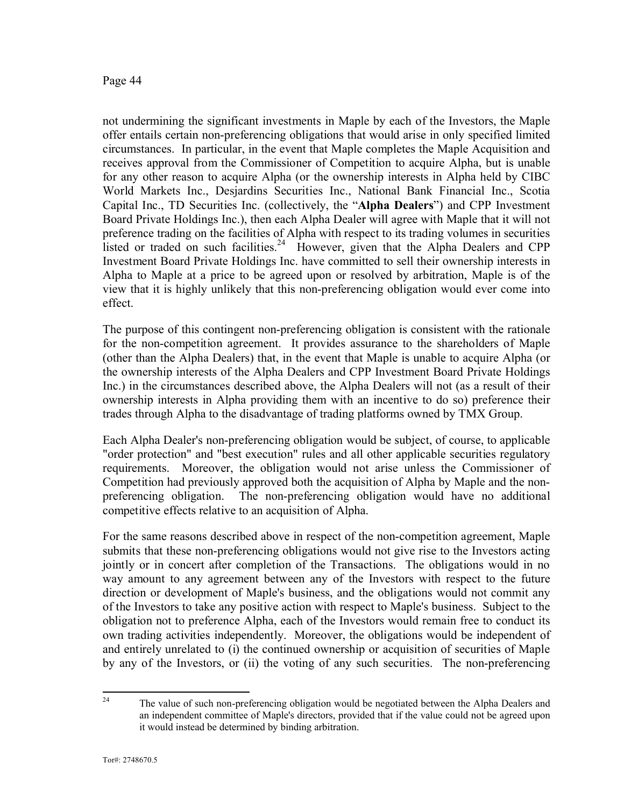not undermining the significant investments in Maple by each of the Investors, the Maple offer entails certain non-preferencing obligations that would arise in only specified limited circumstances. In particular, in the event that Maple completes the Maple Acquisition and receives approval from the Commissioner of Competition to acquire Alpha, but is unable for any other reason to acquire Alpha (or the ownership interests in Alpha held by CIBC World Markets Inc., Desjardins Securities Inc., National Bank Financial Inc., Scotia Capital Inc., TD Securities Inc. (collectively, the "**Alpha Dealers**") and CPP Investment Board Private Holdings Inc.), then each Alpha Dealer will agree with Maple that it will not preference trading on the facilities of Alpha with respect to its trading volumes in securities listed or traded on such facilities.<sup>24</sup> However, given that the Alpha Dealers and CPP Investment Board Private Holdings Inc. have committed to sell their ownership interests in Alpha to Maple at a price to be agreed upon or resolved by arbitration, Maple is of the view that it is highly unlikely that this non-preferencing obligation would ever come into effect.

The purpose of this contingent non-preferencing obligation is consistent with the rationale for the non-competition agreement. It provides assurance to the shareholders of Maple (other than the Alpha Dealers) that, in the event that Maple is unable to acquire Alpha (or the ownership interests of the Alpha Dealers and CPP Investment Board Private Holdings Inc.) in the circumstances described above, the Alpha Dealers will not (as a result of their ownership interests in Alpha providing them with an incentive to do so) preference their trades through Alpha to the disadvantage of trading platforms owned by TMX Group.

Each Alpha Dealer's non-preferencing obligation would be subject, of course, to applicable "order protection" and "best execution" rules and all other applicable securities regulatory requirements. Moreover, the obligation would not arise unless the Commissioner of Competition had previously approved both the acquisition of Alpha by Maple and the nonpreferencing obligation. The non-preferencing obligation would have no additional competitive effects relative to an acquisition of Alpha.

For the same reasons described above in respect of the non-competition agreement, Maple submits that these non-preferencing obligations would not give rise to the Investors acting jointly or in concert after completion of the Transactions. The obligations would in no way amount to any agreement between any of the Investors with respect to the future direction or development of Maple's business, and the obligations would not commit any of the Investors to take any positive action with respect to Maple's business. Subject to the obligation not to preference Alpha, each of the Investors would remain free to conduct its own trading activities independently. Moreover, the obligations would be independent of and entirely unrelated to (i) the continued ownership or acquisition of securities of Maple by any of the Investors, or (ii) the voting of any such securities. The non-preferencing

<sup>&</sup>lt;sup>24</sup> The value of such non-preferencing obligation would be negotiated between the Alpha Dealers and an independent committee of Maple's directors, provided that if the value could not be agreed upon it would instead be determined by binding arbitration.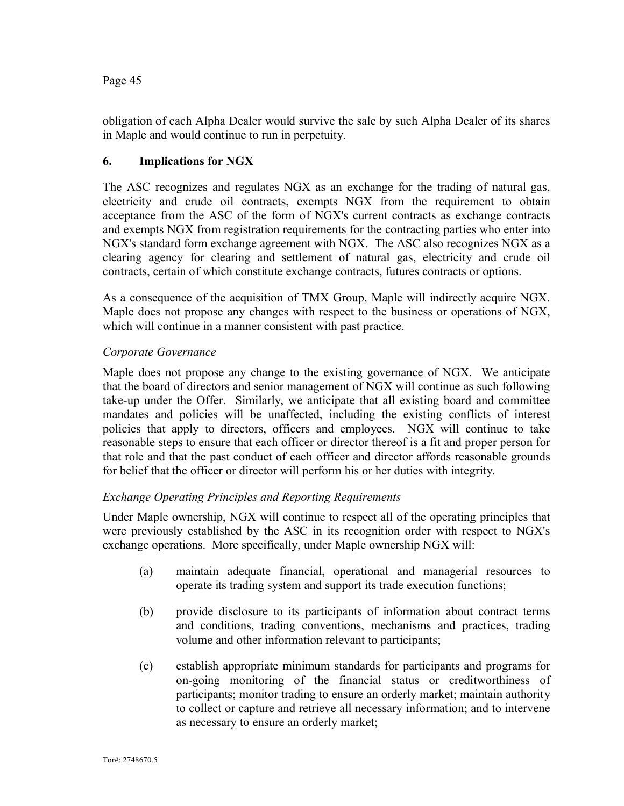obligation of each Alpha Dealer would survive the sale by such Alpha Dealer of its shares in Maple and would continue to run in perpetuity.

### **6. Implications for NGX**

The ASC recognizes and regulates NGX as an exchange for the trading of natural gas, electricity and crude oil contracts, exempts NGX from the requirement to obtain acceptance from the ASC of the form of NGX's current contracts as exchange contracts and exempts NGX from registration requirements for the contracting parties who enter into NGX's standard form exchange agreement with NGX. The ASC also recognizes NGX as a clearing agency for clearing and settlement of natural gas, electricity and crude oil contracts, certain of which constitute exchange contracts, futures contracts or options.

As a consequence of the acquisition of TMX Group, Maple will indirectly acquire NGX. Maple does not propose any changes with respect to the business or operations of NGX, which will continue in a manner consistent with past practice.

### *Corporate Governance*

Maple does not propose any change to the existing governance of NGX. We anticipate that the board of directors and senior management of NGX will continue as such following take-up under the Offer. Similarly, we anticipate that all existing board and committee mandates and policies will be unaffected, including the existing conflicts of interest policies that apply to directors, officers and employees. NGX will continue to take reasonable steps to ensure that each officer or director thereof is a fit and proper person for that role and that the past conduct of each officer and director affords reasonable grounds for belief that the officer or director will perform his or her duties with integrity.

### *Exchange Operating Principles and Reporting Requirements*

Under Maple ownership, NGX will continue to respect all of the operating principles that were previously established by the ASC in its recognition order with respect to NGX's exchange operations. More specifically, under Maple ownership NGX will:

- (a) maintain adequate financial, operational and managerial resources to operate its trading system and support its trade execution functions;
- (b) provide disclosure to its participants of information about contract terms and conditions, trading conventions, mechanisms and practices, trading volume and other information relevant to participants;
- (c) establish appropriate minimum standards for participants and programs for on-going monitoring of the financial status or creditworthiness of participants; monitor trading to ensure an orderly market; maintain authority to collect or capture and retrieve all necessary information; and to intervene as necessary to ensure an orderly market;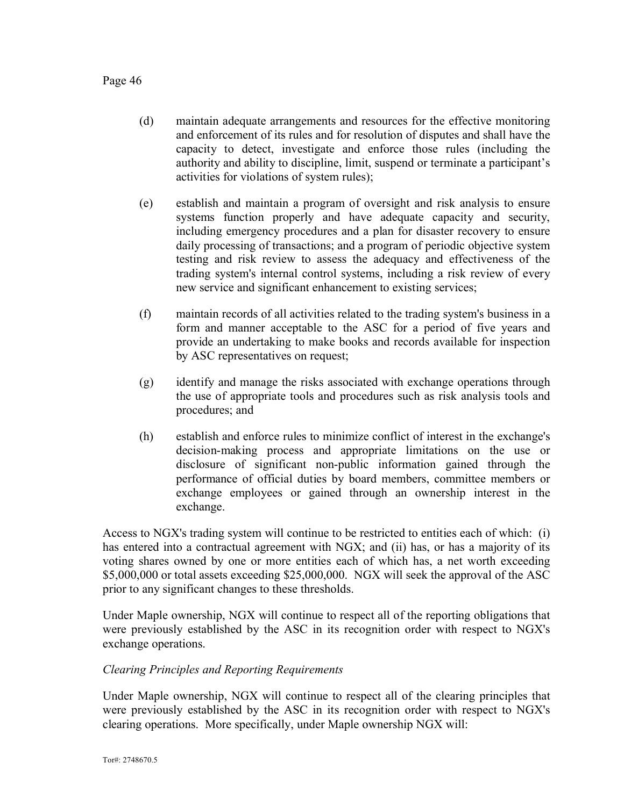- (d) maintain adequate arrangements and resources for the effective monitoring and enforcement of its rules and for resolution of disputes and shall have the capacity to detect, investigate and enforce those rules (including the authority and ability to discipline, limit, suspend or terminate a participant's activities for violations of system rules);
- (e) establish and maintain a program of oversight and risk analysis to ensure systems function properly and have adequate capacity and security, including emergency procedures and a plan for disaster recovery to ensure daily processing of transactions; and a program of periodic objective system testing and risk review to assess the adequacy and effectiveness of the trading system's internal control systems, including a risk review of every new service and significant enhancement to existing services;
- (f) maintain records of all activities related to the trading system's business in a form and manner acceptable to the ASC for a period of five years and provide an undertaking to make books and records available for inspection by ASC representatives on request;
- (g) identify and manage the risks associated with exchange operations through the use of appropriate tools and procedures such as risk analysis tools and procedures; and
- (h) establish and enforce rules to minimize conflict of interest in the exchange's decision-making process and appropriate limitations on the use or disclosure of significant non-public information gained through the performance of official duties by board members, committee members or exchange employees or gained through an ownership interest in the exchange.

Access to NGX's trading system will continue to be restricted to entities each of which: (i) has entered into a contractual agreement with NGX; and (ii) has, or has a majority of its voting shares owned by one or more entities each of which has, a net worth exceeding \$5,000,000 or total assets exceeding \$25,000,000. NGX will seek the approval of the ASC prior to any significant changes to these thresholds.

Under Maple ownership, NGX will continue to respect all of the reporting obligations that were previously established by the ASC in its recognition order with respect to NGX's exchange operations.

### *Clearing Principles and Reporting Requirements*

Under Maple ownership, NGX will continue to respect all of the clearing principles that were previously established by the ASC in its recognition order with respect to NGX's clearing operations. More specifically, under Maple ownership NGX will: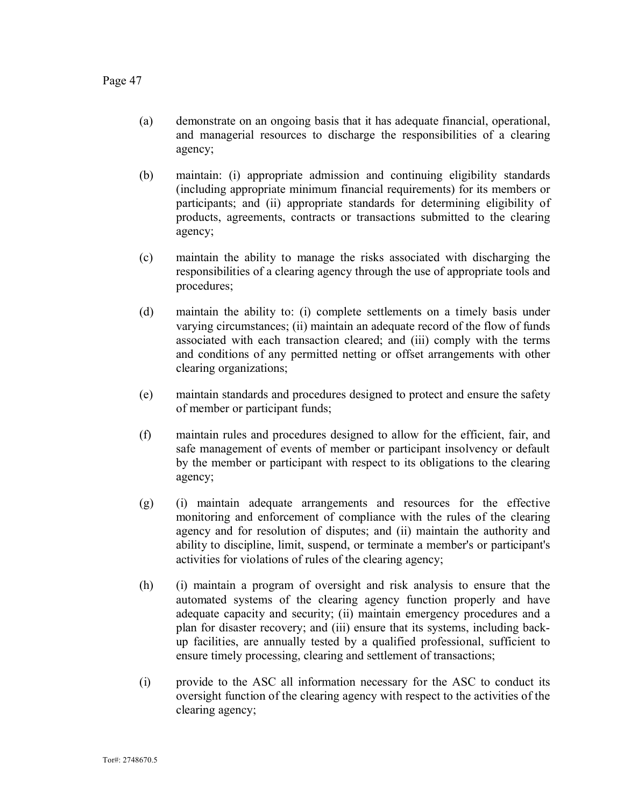- (a) demonstrate on an ongoing basis that it has adequate financial, operational, and managerial resources to discharge the responsibilities of a clearing agency;
- (b) maintain: (i) appropriate admission and continuing eligibility standards (including appropriate minimum financial requirements) for its members or participants; and (ii) appropriate standards for determining eligibility of products, agreements, contracts or transactions submitted to the clearing agency;
- (c) maintain the ability to manage the risks associated with discharging the responsibilities of a clearing agency through the use of appropriate tools and procedures;
- (d) maintain the ability to: (i) complete settlements on a timely basis under varying circumstances; (ii) maintain an adequate record of the flow of funds associated with each transaction cleared; and (iii) comply with the terms and conditions of any permitted netting or offset arrangements with other clearing organizations;
- (e) maintain standards and procedures designed to protect and ensure the safety of member or participant funds;
- (f) maintain rules and procedures designed to allow for the efficient, fair, and safe management of events of member or participant insolvency or default by the member or participant with respect to its obligations to the clearing agency;
- (g) (i) maintain adequate arrangements and resources for the effective monitoring and enforcement of compliance with the rules of the clearing agency and for resolution of disputes; and (ii) maintain the authority and ability to discipline, limit, suspend, or terminate a member's or participant's activities for violations of rules of the clearing agency;
- (h) (i) maintain a program of oversight and risk analysis to ensure that the automated systems of the clearing agency function properly and have adequate capacity and security; (ii) maintain emergency procedures and a plan for disaster recovery; and (iii) ensure that its systems, including backup facilities, are annually tested by a qualified professional, sufficient to ensure timely processing, clearing and settlement of transactions;
- (i) provide to the ASC all information necessary for the ASC to conduct its oversight function of the clearing agency with respect to the activities of the clearing agency;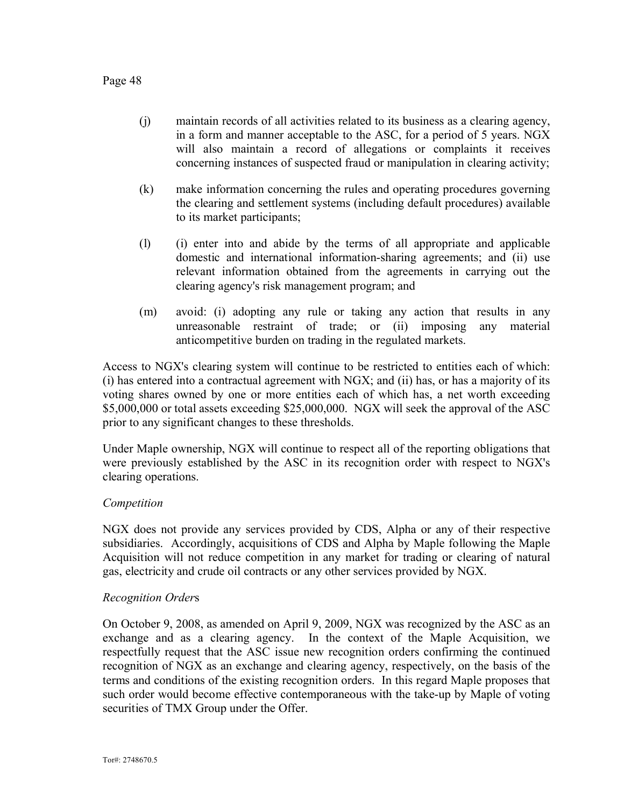- (j) maintain records of all activities related to its business as a clearing agency, in a form and manner acceptable to the ASC, for a period of 5 years. NGX will also maintain a record of allegations or complaints it receives concerning instances of suspected fraud or manipulation in clearing activity;
- (k) make information concerning the rules and operating procedures governing the clearing and settlement systems (including default procedures) available to its market participants;
- (l) (i) enter into and abide by the terms of all appropriate and applicable domestic and international information-sharing agreements; and (ii) use relevant information obtained from the agreements in carrying out the clearing agency's risk management program; and
- (m) avoid: (i) adopting any rule or taking any action that results in any unreasonable restraint of trade; or (ii) imposing any material anticompetitive burden on trading in the regulated markets.

Access to NGX's clearing system will continue to be restricted to entities each of which: (i) has entered into a contractual agreement with NGX; and (ii) has, or has a majority of its voting shares owned by one or more entities each of which has, a net worth exceeding \$5,000,000 or total assets exceeding \$25,000,000. NGX will seek the approval of the ASC prior to any significant changes to these thresholds.

Under Maple ownership, NGX will continue to respect all of the reporting obligations that were previously established by the ASC in its recognition order with respect to NGX's clearing operations.

### *Competition*

NGX does not provide any services provided by CDS, Alpha or any of their respective subsidiaries. Accordingly, acquisitions of CDS and Alpha by Maple following the Maple Acquisition will not reduce competition in any market for trading or clearing of natural gas, electricity and crude oil contracts or any other services provided by NGX.

### *Recognition Order*s

On October 9, 2008, as amended on April 9, 2009, NGX was recognized by the ASC as an exchange and as a clearing agency. In the context of the Maple Acquisition, we respectfully request that the ASC issue new recognition orders confirming the continued recognition of NGX as an exchange and clearing agency, respectively, on the basis of the terms and conditions of the existing recognition orders. In this regard Maple proposes that such order would become effective contemporaneous with the take-up by Maple of voting securities of TMX Group under the Offer.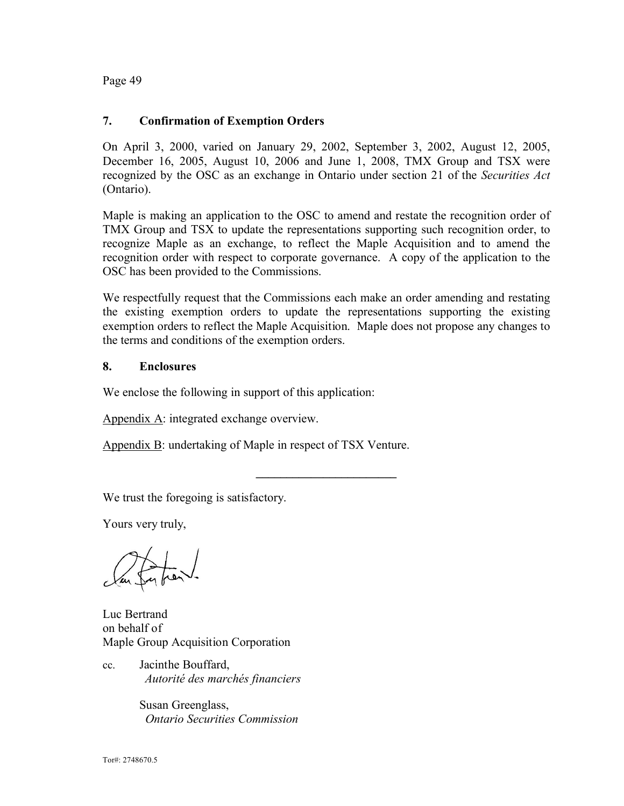### **7. Confirmation of Exemption Orders**

On April 3, 2000, varied on January 29, 2002, September 3, 2002, August 12, 2005, December 16, 2005, August 10, 2006 and June 1, 2008, TMX Group and TSX were recognized by the OSC as an exchange in Ontario under section 21 of the *Securities Act*  (Ontario).

Maple is making an application to the OSC to amend and restate the recognition order of TMX Group and TSX to update the representations supporting such recognition order, to recognize Maple as an exchange, to reflect the Maple Acquisition and to amend the recognition order with respect to corporate governance. A copy of the application to the OSC has been provided to the Commissions.

We respectfully request that the Commissions each make an order amending and restating the existing exemption orders to update the representations supporting the existing exemption orders to reflect the Maple Acquisition. Maple does not propose any changes to the terms and conditions of the exemption orders.

**\_\_\_\_\_\_\_\_\_\_\_\_\_\_\_\_\_\_\_\_\_\_\_**

### **8. Enclosures**

We enclose the following in support of this application:

Appendix A: integrated exchange overview.

Appendix B: undertaking of Maple in respect of TSX Venture.

We trust the foregoing is satisfactory.

Yours very truly,

Luc Bertrand on behalf of Maple Group Acquisition Corporation

cc. Jacinthe Bouffard, *Autorité des marchés financiers*

> Susan Greenglass, *Ontario Securities Commission*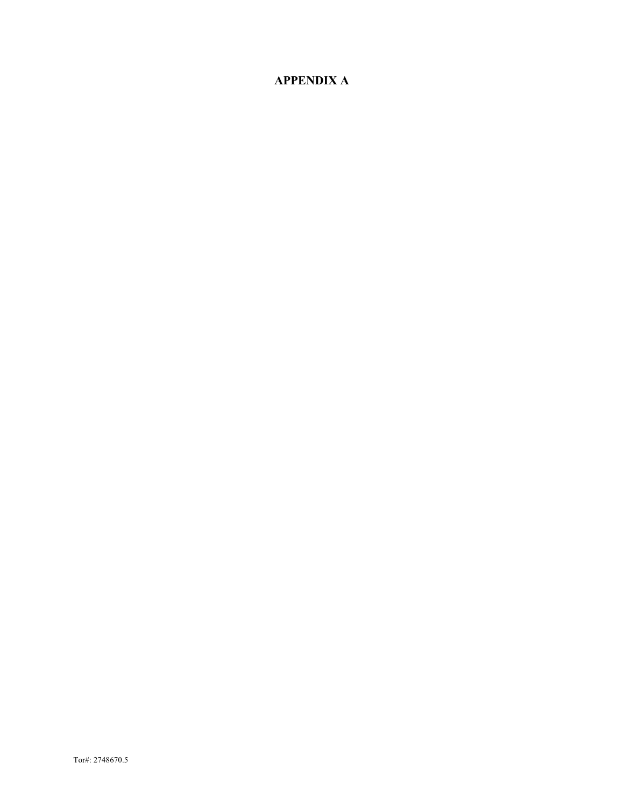# **APPENDIX A**